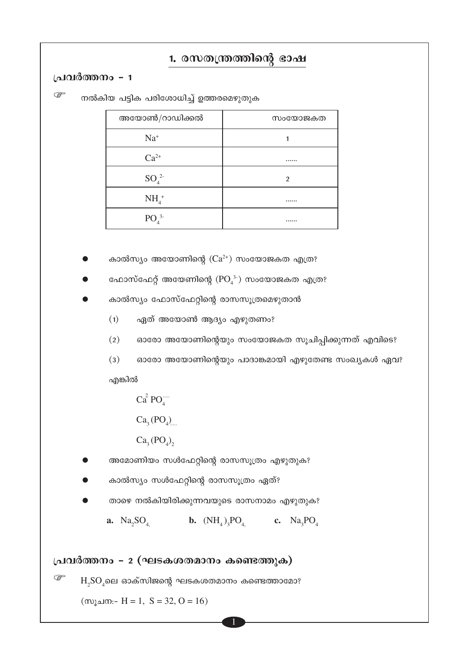### 1. രസതന്ത്രത്തിന്റെ ഭാഷ

#### പ്രവർത്തനം - 1

ক্লে നൽകിയ പട്ടിക പരിശോധിച്ച് ഉത്തരമെഴുതുക

| അയോൺ/റാഡിക്കൽ                | സംയോജകത        |
|------------------------------|----------------|
| $Na+$                        |                |
| $Ca^{2+}$                    |                |
| $SO_4^2$                     | $\overline{2}$ |
| $NH4+$                       |                |
| PO <sub>4</sub> <sup>3</sup> |                |

- കാൽസ്യം അയോണിന്റെ  $(Ca^{2+})$  സംയോജകത എത്ര?
- ഫോസ്ഫേറ്റ് അയേണിന്റെ ( $PO_4^{3-}$ ) സംയോജകത എത്ര?
- കാൽസ്യം ഫോസ്ഫേറ്റിന്റെ രാസസൂത്രമെഴുതാൻ
	- ഏത് അയോൺ ആദ്യം എഴുതണം?  $(1)$
	- $(2)$ ഓരോ അയോണിന്റെയും സംയോജകത സൂചിപ്പിക്കുന്നത് എവിടെ?
	- $(3)$ ഓരോ അയോണിന്റെയും പാദാങ്കമായി എഴുതേണ്ട സംഖ്യകൾ ഏവ?

എങ്കിൽ

 $Ca<sup>2</sup> PO<sub>4</sub>$ 

- $Ca<sub>3</sub>(PO<sub>4</sub>)$
- $Ca<sub>3</sub>(PO<sub>4</sub>)$
- അമോണിയം സൾഫേറ്റിന്റെ രാസസൂത്രം എഴുതുക?
- കാൽസ്യം സൾഫേറ്റിന്റെ രാസസൂത്രം ഏത്?
- താഴെ നൽകിയിരിക്കുന്നവയുടെ രാസനാമം എഴുതുക?

#### പ്രവർത്തനം - 2 (ഘടകശതമാനം കണ്ടെത്തുക)

☞  $H_2SO_4$ ലെ ഓക്സിജന്റെ ഘടകശതമാനം കണ്ടെത്താമോ?

(സൂചന:- H = 1, S = 32, O = 16)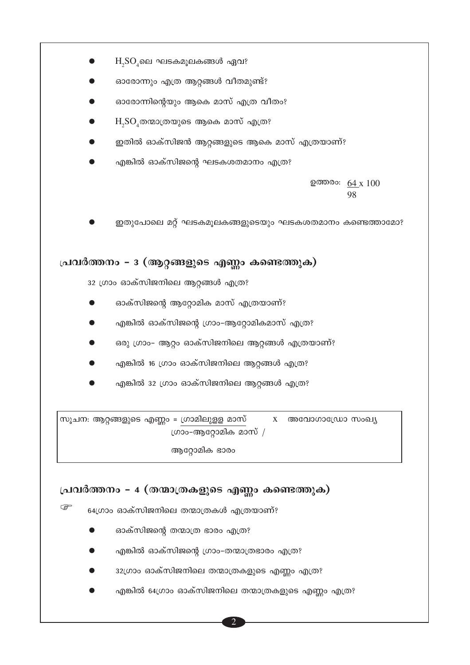

- 
- എങ്കിൽ 32 ഗ്രാം ഓക്സിജനിലെ ആറ്റങ്ങൾ എത്ര?

സൂചന: ആറ്റങ്ങളുടെ എണ്ണം = ഗ്രാമിലുളള മാസ്  $X$  അവോഗാഡ്രോ സംഖ്യ ഗ്രാം-ആറ്റോമിക മാസ് /

ആറ്റോമിക ഭാരം

### പ്രവർത്തനം - 4 (തന്മാത്രകളുടെ എണ്ണം കണ്ടെത്തുക)

64ഗ്രാം ഓക്സിജനിലെ തന്മാത്രകൾ എത്രയാണ്?

ഓക്സിജന്റെ തന്മാത്ര ഭാരം എത്ര?

ক্টে

- എങ്കിൽ ഓക്സിജന്റെ ഗ്രാം-തന്മാത്രഭാരം എത്ര?
- 32ഗ്രാം ഓക്സിജനിലെ തന്മാത്രകളുടെ എണ്ണം എത്ര?
- എങ്കിൽ 64ഗ്രാം ഓക്സിജനിലെ തന്മാത്രകളുടെ എണ്ണം എത്ര?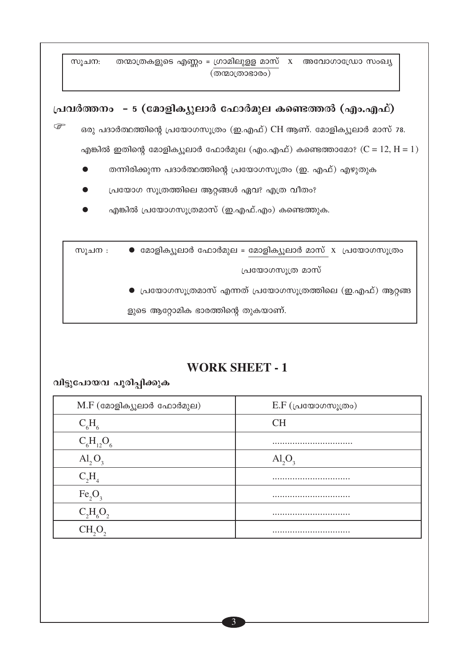തന്മാത്രകളുടെ എണ്ണം = ഗ്രാമിലുളള മാസ്  $x$  അവോഗാഡ്രോ സംഖ്യ സൂചന:  $(\overline{\omega\omega}$ ാരാഭാരം)

## പ്രവർത്തനം - 5 (മോളിക്യുലാർ ഫോർമുല കണ്ടെത്തൽ (എം.എഫ്) ক্লে ഒരു പദാർത്ഥത്തിന്റെ പ്രയോഗസൂത്രം (ഇ.എഫ്) CH ആണ്. മോളിക്യൂലാർ മാസ് 78. എങ്കിൽ ഇതിന്റെ മോളിക്യൂലാർ ഫോർമുല (എം.എഫ്) കണ്ടെത്താമോ?  $(C = 12, H = 1)$ തന്നിരിക്കുന്ന പദാർത്ഥത്തിന്റെ പ്രയോഗസൂത്രം (ഇ. എഫ്) എഴുതുക പ്രയോഗ സൂത്രത്തിലെ ആറ്റങ്ങൾ ഏവ? എത്ര വീതം? എങ്കിൽ പ്രയോഗസൂത്രമാസ് (ഇ.എഫ്.എം) കണ്ടെത്തുക.  $\bullet$  മോളിക്യൂലാർ ഫോർമുല = മോളിക്യൂലാർ മാസ് x പ്രയോഗസൂത്രം സൂചന : പ്രയോഗസൂത്ര മാസ് ▶ പ്രയോഗസൂത്രമാസ് എന്നത് പ്രയോഗസൂത്രത്തിലെ (ഇ.എഫ്) ആറ്റങ്ങ

ളുടെ ആറ്റോമിക ഭാരത്തിന്റെ തുകയാണ്.

### **WORK SHEET - 1**

വിട്ടുപോയവ പൂരിപ്പിക്കുക

| $M.F$ (മോളിക്യൂലാർ ഫോർമുല)     | $E.F$ (പ്രയോഗസൂത്രം)    |
|--------------------------------|-------------------------|
| $C_{6}H_{6}$                   | <b>CH</b>               |
| $C_6H_{12}O_6$                 |                         |
| $\text{Al}_2\text{O}_3$        | $\text{Al}_2\text{O}_3$ |
| $C_2H_4$                       |                         |
| Fe <sub>2</sub> O <sub>3</sub> |                         |
| $C_2H_6O_2$                    |                         |
|                                |                         |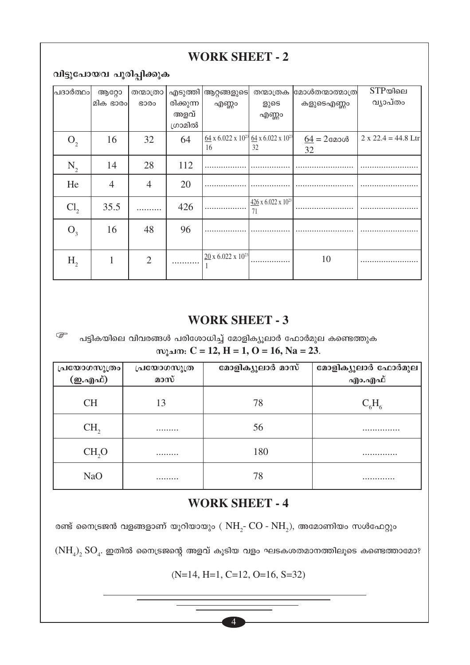### **WORK SHEET - 2**

വിട്ടുപോയവ പൂരിപ്പിക്കുക

ি≅

| ∣പദാർത്ഥം∣      | ആറ്റോ          | തന്മാത്രാ       | എടുത്തി   | ആറ്റങ്ങളുടെ                                                                         | തന്മാത്രക                               | മോൾതന്മാത്മാത്ര | $STP$ യിലെ            |
|-----------------|----------------|-----------------|-----------|-------------------------------------------------------------------------------------|-----------------------------------------|-----------------|-----------------------|
|                 | മിക ഭാരം       | GO <sub>0</sub> | രിക്കുന്ന | എണ്ണം                                                                               | ളുടെ                                    | കളുടെഎണ്ണം      | വ്യാപ്തം              |
|                 |                |                 | അളവ്      |                                                                                     | എണ്ണം                                   |                 |                       |
|                 |                |                 | ഗ്രാമിൽ   |                                                                                     |                                         |                 |                       |
| O <sub>2</sub>  | 16             | 32              | 64        | $\frac{64}{2}$ x 6.022 x 10 <sup>23</sup> $\frac{64}{2}$ x 6.022 x 10 <sup>23</sup> |                                         | $64 = 2$ മോൾ    | $2 x 22.4 = 44.8$ Ltr |
|                 |                |                 |           | 16                                                                                  | 32                                      | 32              |                       |
| $\rm N_{2}$     | 14             | 28              | 112       |                                                                                     |                                         |                 |                       |
| He              | $\overline{4}$ | $\overline{4}$  | 20        |                                                                                     |                                         |                 |                       |
|                 |                |                 |           |                                                                                     |                                         |                 |                       |
| Cl <sub>2</sub> | 35.5           |                 | 426       |                                                                                     | $426 \times 6.022 \times 10^{23}$<br>71 |                 |                       |
| $O_{3}$         | 16             | 48              | 96        |                                                                                     |                                         |                 |                       |
|                 |                |                 |           |                                                                                     |                                         |                 |                       |
| $H_{2}$         | 1              | $\overline{2}$  |           | $20 \times 6.022 \times 10^{23}$                                                    |                                         | 10              |                       |
|                 |                |                 |           |                                                                                     |                                         |                 |                       |

### **WORK SHEET - 3**

പട്ടികയിലെ വിവരങ്ങൾ പരിശോധിച്ച് മോളിക്യൂലാർ ഫോർമുല കണ്ടെത്തുക സുചന:  $C = 12$ ,  $H = 1$ ,  $O = 16$ ,  $Na = 23$ .

|                       | പ്രയോഗസൂത്ര | മോളിക്യൂലാർ മാസ് | മോളിക്യൂലാർ ഫോർമുല |
|-----------------------|-------------|------------------|--------------------|
| പയോഗസൂത്രം<br>(ഇ.എഫ്) | മാസ്        |                  | എം.എഫ്             |
| <b>CH</b>             | 13          | 78               | $\rm C_{_6}H_{_6}$ |
| CH <sub>2</sub>       |             | 56               |                    |
| CH <sub>2</sub> O     |             | 180              |                    |
| <b>NaO</b>            |             | 78               |                    |

### **WORK SHEET - 4**

രണ്ട് നൈട്രജൻ വളങ്ങളാണ് യൂറിയായും (  $\rm NH_2$ -  $\rm CO$  -  $\rm NH_2$ ), അമോണിയം സൾഫേറ്റും

 $\rm (NH_4)_2$   $\rm SO_4$ . ഇതിൽ നൈട്രജന്റെ അളവ് കൂടിയ വളം ഘടകശതമാനത്തിലൂടെ കണ്ടെത്താമോ?

 $(N=14, H=1, C=12, O=16, S=32)$ 

 $\overline{4}$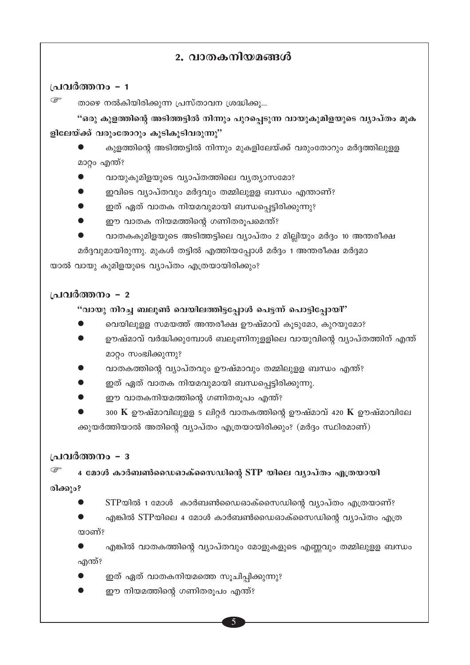### 2. വാതകനിയമങ്ങൾ

#### പ്രവർത്തനം - 1

ক্লে താഴെ നൽകിയിരിക്കുന്ന പ്രസ്താവന ശ്രദ്ധിക്കു...

"ഒരു കുളത്തിന്റെ അടിത്തട്ടിൽ നിന്നും പുറപ്പെടുന്ന വായുകുമിളയുടെ വ്യാപ്തം മുക ളിലേയ്ക്ക് വരുംതോറും കൂടികൂടിവരുന്നു"

കുളത്തിന്റെ അടിത്തട്ടിൽ നിന്നും മുകളിലേയ്ക്ക് വരുംതോറും മർദ്ദത്തിലുള്ള മാറ്റം എന്ത്?

- വായുകുമിളയുടെ വ്യാപ്തത്തിലെ വ്യത്യാസമോ?
- ഇവിടെ വ്യാപ്തവും മർദ്ദവും തമ്മിലുളള ബന്ധം എന്താണ്?
- ഇത് ഏത് വാതക നിയമവുമായി ബന്ധപ്പെട്ടിരിക്കുന്നു?
- ഈ വാതക നിയമത്തിന്റെ ഗണിതരൂപമെന്ത്?
- വാതകകുമിളയുടെ അടിത്തട്ടിലെ വ്യാപ്തം 2 മില്ലിയും മർദ്ദം 10 അന്തരീക്ഷ മർദ്ദവുമായിരുന്നു. മുകൾ തട്ടിൽ എത്തിയപ്പോൾ മർദ്ദം 1 അന്തരീക്ഷ മർദ്ദമാ

യാൽ വായു കുമിളയുടെ വ്യാപ്തം എത്രയായിരിക്കും?

#### പ്രവർത്തനം - 2

#### "വായു നിറച്ച ബലൂൺ വെയിലത്തിട്ടപ്പോൾ പെട്ടന്ന് പൊട്ടിപ്പോയി"

- വെയിലുള്ള സമയത്ത് അന്തരീക്ഷ ഊഷ്മാവ് കുടുമോ, കുറയുമോ?
- ഊഷ്മാവ് വർദ്ധിക്കുമ്പോൾ ബലൂണിനുളളിലെ വായുവിന്റെ വ്യാപ്തത്തിന് എന്ത് മാറ്റം സംഭ്വിക്കുന്നു?
- വാതകത്തിന്റെ വ്യാപ്തവും ഊഷ്മാവും തമ്മിലുളള ബന്ധം എന്ത്?
- ഇത് ഏത് വാതക നിയമവുമായി ബന്ധപ്പെട്ടിരിക്കുന്നു.
- ഈ വാതകനിയമത്തിന്റെ ഗണിതരൂപം എന്ത്?
- 300 K ഊഷ്മാവിലുളള 5 ലിറ്റർ വാതകത്തിന്റെ ഊഷ്മാവ് 420 K ഊഷ്മാവിലേ ക്കുയർത്തിയാൽ അതിന്റെ വ്യാപ്തം എത്രയായിരിക്കും? (മർദ്ദം സ്ഥിരമാണ്)

#### പ്രവർത്തനം - ദ

4 മോൾ കാർബൺഡൈഓക്സൈഡിന്റെ STP യിലെ വ്യാപ്തം എത്രയായി

രിക്കും?

- STPയിൽ 1 മോൾ കാർബൺഡൈഓക്സൈഡിന്റെ വ്യാപ്തം എത്രയാണ്?
- എങ്കിൽ STPയിലെ 4 മോൾ കാർബൺഡൈഓക്സൈഡിന്റെ വ്യാപ്തം എത്ര താണ്?

എങ്കിൽ വാതകത്തിന്റെ വ്യാപ്തവും മോളുകളുടെ എണ്ണവും തമ്മിലുളള ബന്ധം എന്ത്?

- ഇത് ഏത് വാതകനിയമത്തെ സുചിപ്പിക്കുന്നു?
- ഈ നിയമത്തിന്റെ ഗണിതരൂപം എന്ത്?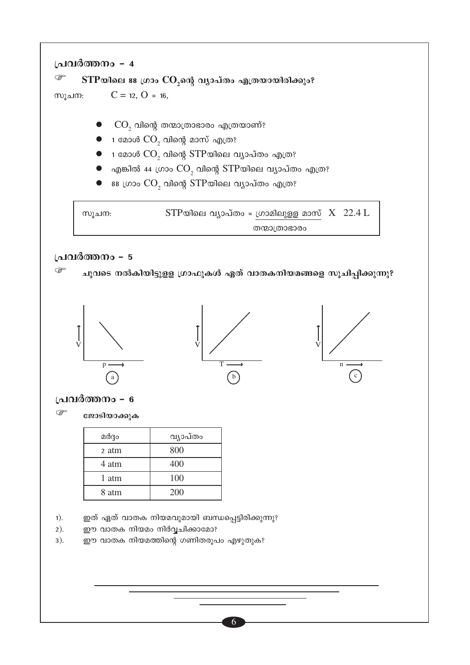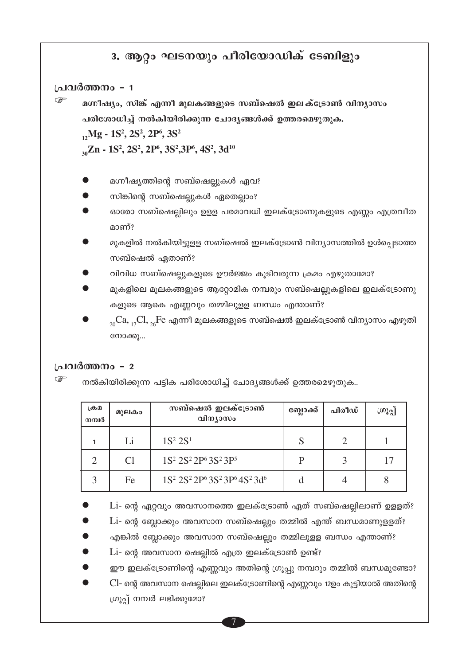### 3. ആറ്റം ഘടനയും പീരിയോഡിക് ടേബിളും

#### പ്രവർത്തനം - 1

G

മഗ്നീഷ്യം, സിങ്ക് എന്നീ മൂലകങ്ങളുടെ സബ്ഷെൽ ഇലക്ട്രോൺ വിന്യാസം പരിശോധിച്ച് നൽകിയിരിക്കുന്ന ചോദ്യങ്ങൾക്ക് ഉത്തരമെഴുതുക.

 $_1$ , Mg - 1S<sup>2</sup>, 2S<sup>2</sup>, 2P<sup>6</sup>, 3S<sup>2</sup>

 $_{30}Zn - 1S^2$ , 2S<sup>2</sup>, 2P<sup>6</sup>, 3S<sup>2</sup>, 3P<sup>6</sup>, 4S<sup>2</sup>, 3d<sup>10</sup>

- മഗ്നീഷ്യത്തിന്റെ സബ്ഷെല്ലുകൾ ഏവ?
- സിങ്കിന്റെ സബ്ഷെല്ലുകൾ ഏതെല്ലാം?
- ഓരോ സബ്ഷെല്ലിലും ഉള്ള പരമാവധി ഇലക്ട്രോണുകളുടെ എണ്ണം എത്രവീത മാണ്?
- മുകളിൽ നൽകിയിട്ടുളള സബ്ഷെൽ ഇലക്ട്രോൺ വിന്യാസത്തിൽ ഉൾപ്പെടാത്ത സബ്ഷെൽ ഏതാണ്?
- വിവിധ സബ്ഷെല്ലുകളുടെ ഊർജ്ജം കുടിവരുന്ന ക്രമം എഴുതാമോ?
- മുകളിലെ മുലകങ്ങളുടെ ആറ്റോമിക നമ്പരും സബ്ഷെല്ലുകളിലെ ഇലക്ട്രോണു കളുടെ ആകെ എണ്ണവും തമ്മിലുളള ബന്ധം എന്താണ്?
- $_{20}Ca, _{17}Cl, _{26}Fe$  എന്നീ മൂലകങ്ങളുടെ സബ്ഷെൽ ഇലക്ട്രോൺ വിന്യാസം എഴുതി നോക്കൂ...

#### പ്രവർത്തനം - 2

☞ നൽകിയിരിക്കുന്ന പട്ടിക പരിശോധിച്ച് ചോദ്യങ്ങൾക്ക് ഉത്തരമെഴുതുക..

| ക്രമ<br>നമ്പർ | മുലകം | സബ്ഷെൽ ഇലക്ട്രോൺ<br>വിന്യാസം                                                                                    | ബ്ലോക്ക് | പിരീഡ് | ശൂപ്പ് |
|---------------|-------|-----------------------------------------------------------------------------------------------------------------|----------|--------|--------|
|               | Li    | $1S^2 2S^1$                                                                                                     | S        | ာ      |        |
| ⌒             | Cl    | $1S^2 2S^2 2P^6 3S^2 3P^5$                                                                                      | P        | 2      |        |
| $\mathbf 3$   | Fe    | 1S <sup>2</sup> 2S <sup>2</sup> 2P <sup>6</sup> 3S <sup>2</sup> 3P <sup>6</sup> 4S <sup>2</sup> 3d <sup>6</sup> |          |        |        |

 $Li$ - ന്റെ ഏറ്റവും അവസാനത്തെ ഇലക്ട്രോൺ ഏത് സബ്ഷെല്ലിലാണ് ഉള്ളത്?

- Li- ന്റെ ബ്ലോക്കും അവസാന സബ്ഷെല്ലും തമ്മിൽ എന്ത് ബന്ധമാണുളളത്?
- എങ്കിൽ ബ്ലോക്കും അവസാന സബ്ഷെല്ലും തമ്മിലുളള ബന്ധം എന്താണ്?
- Li- ന്റെ അവസാന ഷെല്ലിൽ എത്ര ഇലക്ട്രോൺ ഉണ്ട്?
- ഈ ഇലക്ട്രോണിന്റെ എണ്ണവും അതിന്റെ ഗ്രൂപ്പു നമ്പറും തമ്മിൽ ബന്ധമുണ്ടോ?
- Cl- ന്റെ അവസാന ഷെല്ലിലെ ഇലക്ട്രോണിന്റെ എണ്ണവും 12ഉം കുട്ടിയാൽ അതിന്റെ ഗ്രൂപ്പ് നമ്പർ ലഭിക്കുമോ?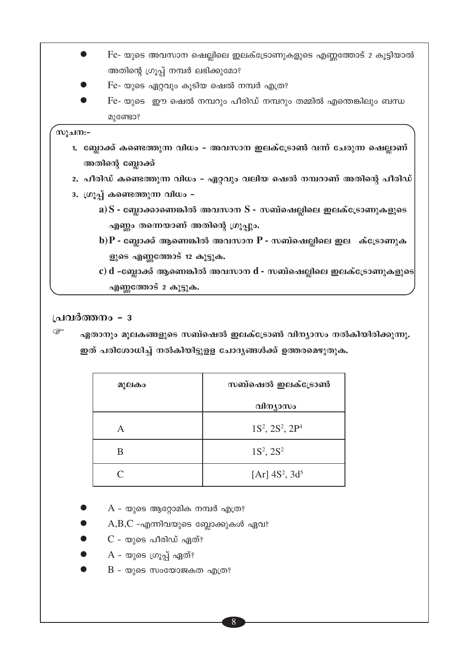$Fe$ - യുടെ അവസാന ഷെല്ലിലെ ഇലക്ട്രോണുകളുടെ എണ്ണത്തോട് 2 കൂട്ടിയാൽ  $\bullet$ അതിന്റെ ഗ്രൂപ്പ് നമ്പർ ലഭിക്കുമോ? Fe- യുടെ ഏറ്റവും കൂടിയ ഷെൽ നമ്പർ എത്ര?  $Fe$ - യുടെ ഈ ഷെൽ നമ്പറും പീരിഡ് നമ്പറും തമ്മിൽ എന്തെങ്കിലും ബന്ധ മുണ്ടോ?

#### സൂചന:−

- 1. ബ്ലോക്ക് കണ്ടെത്തുന്ന വിധം അവസാന ഇലക്ട്രോൺ വന്ന് ചേരുന്ന ഷെല്ലാണ് അതിന്റെ ബ്ലോക്ക്
- 2. പീരിഡ് കണ്ടെത്തുന്ന വിധം ഏറ്റവും വലിയ ഷെൽ നമ്പറാണ് അതിന്റെ പീരിഡ്
- 3. ഗ്രൂപ്പ് കണ്ടെത്തുന്ന വിധം
	- a) S ബ്ലോക്കാണെങ്കിൽ അവസാന $S$  സബ്ഷെല്ലിലെ ഇലക്ട്രോണുകളുടെ എണ്ണം തന്നെയാണ് അതിന്റെ ഗ്രൂപ്പും.
	- b) $P$  ബ്ലോക്ക് ആണെങ്കിൽ അവസാന  $P$  സബ്ഷെല്ലിലെ ഇല ക്ട്രോണുക ളുടെ എണ്ണത്തോട് 12 കൂട്ടുക.
	- $\mathbf c$ )  $\mathbf d$  -ബ്ലോക്ക് ആണെങ്കിൽ അവസാന  $\mathbf d$  സബ്ഷെല്ലിലെ ഇലക്ട്രോണുകളുടെ $\mathbf s$ എണ്ണത്തോട് 2 കൂട്ടുക.

#### പ്രവർത്തനം - 3

 $\mathbb{Q}$ ഏതാനും മൂലകങ്ങളുടെ സബ്ഷെൽ ഇലക്ട്രോൺ വിന്യാസം നൽകിയിരിക്കുന്നു. ഇത് പരിശോധിച്ച് നൽകിയിട്ടുളള ചോദൃങ്ങൾക്ക് ഉത്തരമെഴുതുക.

| മൂലകം | സബ്ഷെൽ ഇലക്ട്രോൺ         |
|-------|--------------------------|
|       | വിന്യാസം                 |
| А     | $1S^2$ , $2S^2$ , $2P^4$ |
| R     | $1S^2$ , $2S^2$          |
|       | [Ar] $4S^2$ , $3d^5$     |

- $A$  യുടെ ആറ്റോമിക നമ്പർ എത്ര?
- $A,B,C$  -എന്നിവയുടെ ബ്ലോക്കുകൾ ഏവ?
- $C$  യുടെ പീരിഡ് ഏത്?
- $A$  യുടെ ഗ്രൂപ്പ് ഏത്?
- $B$  യുടെ സംയോജകത എത്ര?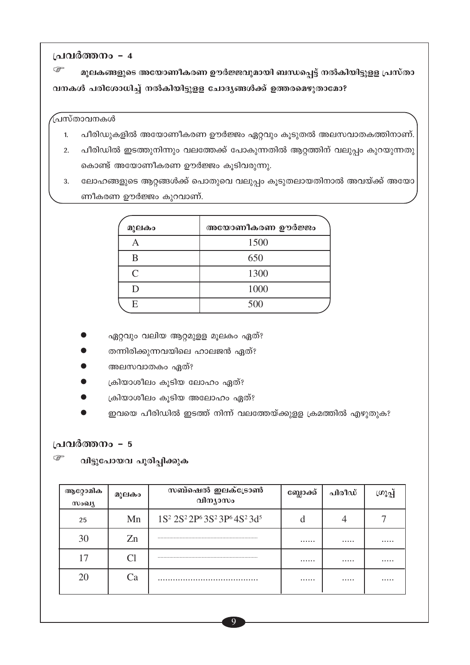$\mathbb{Q}$ മൂലകങ്ങളുടെ അയോണീകരണ ഊർജ്ജവുമായി ബന്ധപ്പെട്ട് നൽകിയിട്ടുളള പ്രസ്താ വനകൾ പരിശോധിച്ച് നൽകിയിട്ടുളള ചോദ്യങ്ങൾക്ക് ഉത്തരമെഴുതാമോ?

#### ്പസ്താവനകൾ

- പീരിഡുകളിൽ അയോണീകരണ ഊർജ്ജം ഏറ്റവും കൂടുതൽ അലസവാതകത്തിനാണ്.  $1.$
- 2. പീരിഡിൽ ഇടത്തുനിന്നും വലത്തേക്ക് പോകുന്നതിൽ ആറ്റത്തിന് വലുപ്പം കുറയുന്നതു കൊണ്ട് അയോണീകരണ ഊർജ്ജം കൂടിവരുന്നു.
- ലോഹങ്ങളുടെ ആറ്റങ്ങൾക്ക് പൊതുവെ വലുപ്പം കൂടുതലായതിനാൽ അവയ്ക്ക് അയോ  $3.$ ണീകരണ ഊർജ്ജം കുറവാണ്.

| മൂലകം         | അയോണീകരണ ഊർജ്ജം |
|---------------|-----------------|
|               | 1500            |
| В             | 650             |
| $\mathcal{C}$ | 1300            |
| רו            | 1000            |
| E             | 500             |

- ഏറ്റവും വലിയ ആറ്റമുളള മൂലകം ഏത്?
- തന്നിരിക്കുന്നവയിലെ ഹാലജൻ ഏത്?
- അലസവാതകം ഏത്?
- ക്രിയാശീലം കൂടിയ ലോഹം ഏത്?
- ക്രിയാശീലം കൂടിയ അലോഹം ഏത്?
- ഇവയെ പീരിഡിൽ ഇടത്ത് നിന്ന് വലത്തേയ്ക്കുളള ക്രമത്തിൽ എഴുതുക?

#### പ്രവർത്തനം - 5

తా വിട്ടുപോയവ പൂരിപ്പിക്കുക

| 1S <sup>2</sup> 2S <sup>2</sup> 2P <sup>6</sup> 3S <sup>2</sup> 3P <sup>6</sup> 4S <sup>2</sup> 3d <sup>5</sup><br>Mn<br>25<br>30<br>Zn<br><br><br><br>17<br><br><br><br>20<br>Ca<br><br><br> | ആറ്റോമിക<br>സംഖ്യ | മൂലകം | സബ്ഷെൽ ഇലക്ട്രോൺ<br>വിന്യാസം | ബ്ലോക്ക് | പിരീഡ് | (ဟၤ့ဂ္ဂူ |
|-----------------------------------------------------------------------------------------------------------------------------------------------------------------------------------------------|-------------------|-------|------------------------------|----------|--------|----------|
|                                                                                                                                                                                               |                   |       |                              |          |        |          |
|                                                                                                                                                                                               |                   |       |                              |          |        |          |
|                                                                                                                                                                                               |                   |       |                              |          |        |          |
|                                                                                                                                                                                               |                   |       |                              |          |        |          |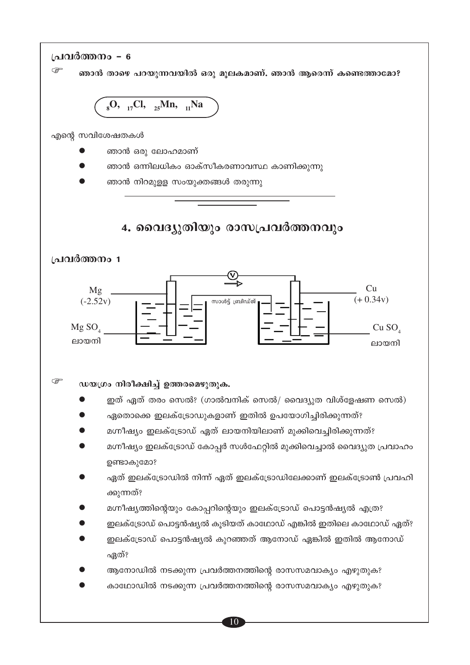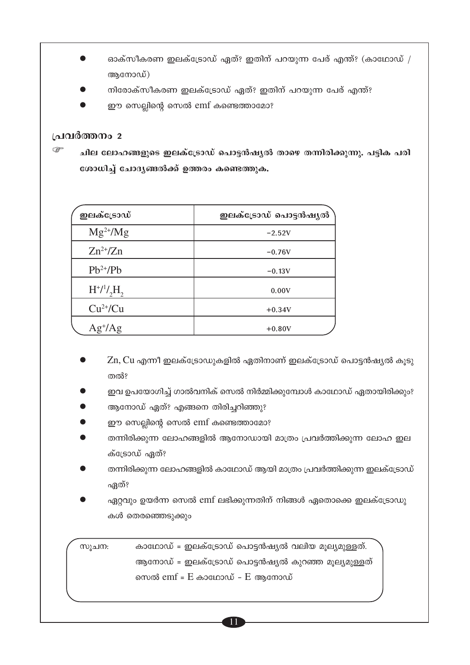- ഓക്സീകരണ ഇലക്ട്രോഡ് ഏത്? ഇതിന് പറയുന്ന പേര് എന്ത്? (കാഥോഡ് / ആനോഡ്)
- നിരോക്സീകരണ ഇലക്ട്രോഡ് ഏത്? ഇതിന് പറയുന്ന പേര് എന്ത്?
- ഈ സെല്ലിന്റെ സെൽ emf കണ്ടെത്താമോ?

 $\mathbb{Q}$ ചില ലോഹങ്ങളുടെ ഇലക്ട്രോഡ് പൊട്ടൻഷ്യൽ താഴെ തന്നിരിക്കുന്നു. പട്ടിക പരി ശോധിച്ച് ചോദ്യങ്ങൽക്ക് ഉത്തരം കണ്ടെത്തുക.

| ഇലക്ട്രോഡ്        | ഇലക്ട്രോഡ് പൊട്ടൻഷൃൽ |
|-------------------|----------------------|
| $Mg^{2+}/Mg$      | $-2.52V$             |
| $Zn^{2+}/Zn$      | $-0.76V$             |
| $Pb^{2+}/Pb$      | $-0.13V$             |
| $H^{+/1}/H$ ,     | 0.00V                |
| $Cu2+/Cu$         | $+0.34V$             |
| $Ag^{\dagger}/Ag$ | $+0.80V$             |

- $Zn$ ,  $Cu$  എന്നീ ഇലക്ട്രോഡുകളിൽ ഏതിനാണ് ഇലക്ട്രോഡ് പൊട്ടൻഷ്യൽ കുടു തൽ?
- ഇവ ഉപയോഗിച്ച് ഗാൽവനിക് സെൽ നിർമ്മിക്കുമ്പോൾ കാഥോഡ് ഏതായിരിക്കും?
- ആനോഡ് ഏത്? എങ്ങനെ തിരിച്ചറിഞ്ഞു?
- ഈ സെല്ലിന്റെ സെൽ emf കണ്ടെത്താമോ?
- തന്നിരിക്കുന്ന ലോഹങ്ങളിൽ ആനോഡായി മാത്രം പ്രവർത്തിക്കുന്ന ലോഹ ഇല ക്ട്രോഡ് ഏത്?
- തന്നിരിക്കുന്ന ലോഹങ്ങളിൽ കാഥോഡ് ആയി മാത്രം പ്രവർത്തിക്കുന്ന ഇലക്ട്രോഡ് ഏത്?
- ഏറ്റവും ഉയർന്ന സെൽ emf ലഭിക്കുന്നതിന് നിങ്ങൾ ഏതൊക്കെ ഇലക്ട്രോഡു കൾ തെരഞ്ഞെടുക്കും

കാഥോഡ് = ഇലക്ട്രോഡ് പൊട്ടൻഷ്യൽ വലിയ മൂല്യമുള്ളത്. സൂചന: ആനോഡ് = ഇലക്ട്രോഡ് പൊട്ടൻഷ്യൽ കുറഞ്ഞ മൂല്യമുള്ളത് സെൽ  $emf = E$  കാഥോഡ് –  $E$  ആനോഡ്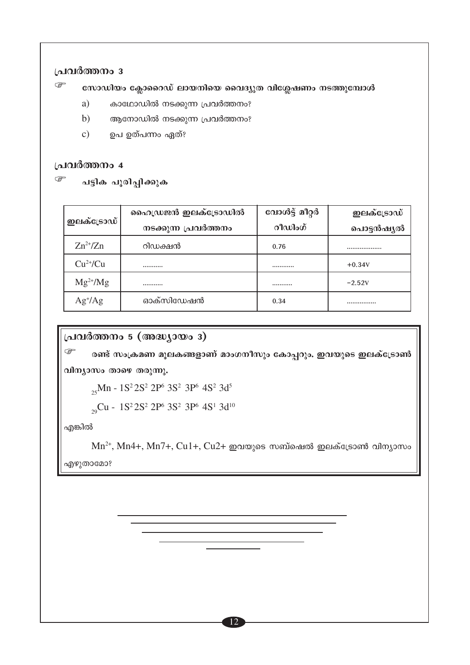$\mathbb{G}$ സോഡിയം ക്ലോറൈഡ് ലായനിയെ വൈദ്യുത വിശ്ലേഷണം നടത്തുമ്പോൾ

- a) കാഥോഡിൽ നടക്കുന്ന പ്രവർത്തനം?
- $b)$ ആനോഡിൽ നടക്കുന്ന പ്രവർത്തനം?
- ഉപ ഉത്പന്നം ഏത്?  $\mathbf{c})$

#### പ്രവർത്തനം 4

 $\mathbb{G}$ പട്ടിക പൂരിപ്പിക്കുക

|                   | ഹൈഡ്രജൻ ഇലക്ട്രോഡിൽ  | വോൾട്ട് മീറ്റർ | ഇലക്ട്രോഡ് |
|-------------------|----------------------|----------------|------------|
| ഇലക്ട്രോഡ്        | നടക്കുന്ന പ്രവർത്തനം | റീഡിംഗ്        | പൊട്ടൻഷൃൽ  |
| $Zn^{2+}/Zn$      | റിഡക്ഷൻ              | 0.76           |            |
| $Cu^{2+}/Cu$      |                      |                | $+0.34V$   |
| $Mg^{2+}/Mg$      |                      |                | $-2.52V$   |
| $Ag^{\dagger}/Ag$ | ഓക്സിഡേഷൻ            | 0.34           |            |

### പ്രവർത്തനം 5 (അദ്ധ്യായം 3)

 $\mathbb{Q}$ രണ്ട് സംക്രമണ മൂലകങ്ങളാണ് മാംഗനീസും കോപ്പറും. ഇവയുടെ ഇലക്ട്രോൺ

വിന്യാസം താഴെ തരുന്നു.

<sub>25</sub>Mn - 1S<sup>2</sup> 2S<sup>2</sup> 2P<sup>6</sup> 3S<sup>2</sup> 3P<sup>6</sup> 4S<sup>2</sup> 3d<sup>5</sup>

<sub>29</sub>Cu - 1S<sup>2</sup> 2S<sup>2</sup> 2P<sup>6</sup> 3S<sup>2</sup> 3P<sup>6</sup> 4S<sup>1</sup> 3d<sup>10</sup>

 $Mn^{2+}$ ,  $Mn4+$ ,  $Mn7+$ ,  $Cu1+$ ,  $Cu2+$  ഇവയുടെ സബ്ഷെൽ ഇലക്ട്രോൺ വിന്യാസം

എഴുതാമോ?

എങ്കിൽ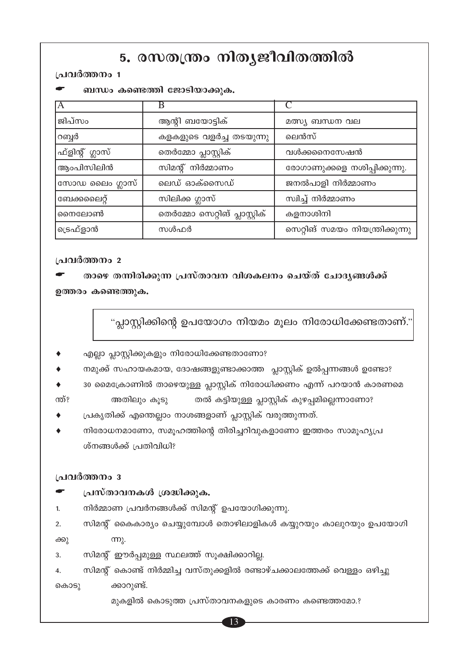## 5. രസതന്ത്രം നിതൃജീവിതത്തിൽ

#### പ്രവർത്തനം 1

|                 | $\sim$ 0000,0110,010,1 0000001 $\sim$ 0000,000, |                                 |
|-----------------|-------------------------------------------------|---------------------------------|
| IА              | В                                               |                                 |
| ജിപ്സം          | ആന്റി ബയോട്ടിക്                                 | മത്സ്യ ബന്ധന വല                 |
| റബ്ബർ           | കളകളുടെ വളർച്ച തടയുന്നു                         | ലെൻസ്                           |
| ഫ്ളിന്റ് ഗ്ലാസ് | തെർമ്മോ പ്ലാസ്റ്റിക്                            | വൾക്കനൈസേഷൻ                     |
| ആംപിസിലിൻ       | സിമന്റ് നിർമ്മാണം                               | രോഗാണുക്കളെ നശിപ്പിക്കുന്നു.    |
| സോഡ ലൈം ഗ്ലാസ്  | ലെഡ് ഓക്സൈഡ്                                    | ജനൽപാളി നിർമ്മാണം               |
| ബേക്കലൈറ്റ്     | സിലിക്ക ഗ്ലാസ്                                  | സ്വിച്ച് നിർമ്മാണം              |
| നൈലോൺ           | തെർമ്മോ സെറ്റിങ് പ്ലാസ്റ്റിക്                   | കളനാശിനി                        |
| ട്രെഫ്ളാൻ       | സൾഫർ                                            | സെറ്റിങ് സമയം നിയന്ത്രിക്കുന്നു |

#### ബന്ധം കണ്ടെത്തി ജോടിയാക്കുക.

#### പ്രവർത്തനം 2

താഴെ തന്നിരിക്കുന്ന പ്രസ്താവന വിശകലനം ചെയ്ത് ചോദൃങ്ങൾക്ക് ഉത്തരം കണ്ടെത്തുക.

"പ്ലാസ്റ്റിക്കിന്റെ ഉപയോഗം നിയമം മൂലം നിരോധിക്കേണ്ടതാണ്."

- എല്ലാ പ്ലാസ്റ്റിക്കുകളും നിരോധിക്കേണ്ടതാണോ?
- നമുക്ക് സഹായകമായ, ദോഷങ്ങളുണ്ടാക്കാത്ത പ്ലാസ്റ്റിക് ഉൽപ്പന്നങ്ങൾ ഉണ്ടോ?
- 30 മൈക്രോണിൽ താഴെയുള്ള പ്ലാസ്റ്റിക് നിരോധിക്കണം എന്ന് പറയാൻ കാരണമെ

അതിലും കൂടു ന്ത്? തൽ കട്ടിയുള്ള പ്ലാസ്റ്റിക് കുഴപ്പമില്ലെന്നാണോ?

- പ്രകൃതിക്ക് എന്തെല്ലാം നാശങ്ങളാണ് പ്ലാസ്റ്റിക് വരുത്തുന്നത്.
- നിരോധനമാണോ, സമൂഹത്തിന്റെ തിരിച്ചറിവുകളാണോ ഇത്തരം സാമൂഹ്യപ്ര ശ്നങ്ങൾക്ക് പ്രതിവിധി?

#### പ്രവർത്തനം 3

#### പ്രസ്താവനകൾ ശ്രദ്ധിക്കുക.

നിർമ്മാണ പ്രവർനങ്ങൾക്ക് സിമന്റ് ഉപയോഗിക്കുന്നു.  $1<sup>1</sup>$ 

സിമന്റ് കൈകാര്യം ചെയ്യുമ്പോൾ തൊഴിലാളികൾ കയ്യുറയും കാലുറയും ഉപയോഗി  $\overline{2}$ .

 $mp<sub>2</sub>$ . ക്കു

- സിമന്റ് ഈർപ്പമുള്ള സ്ഥലത്ത് സൂക്ഷിക്കാറില്ല.  $\mathcal{R}$
- സിമന്റ് കൊണ്ട് നിർമ്മിച്ച വസ്തുക്കളിൽ രണ്ടാഴ്ചക്കാലത്തേക്ക് വെള്ളം ഒഴിച്ചു  $\mathbf{A}$ ക്കാറുണ്ട്. കൊട്ട

മുകളിൽ കൊടുത്ത പ്രസ്താവനകളുടെ കാരണം കണ്ടെത്തമോ.?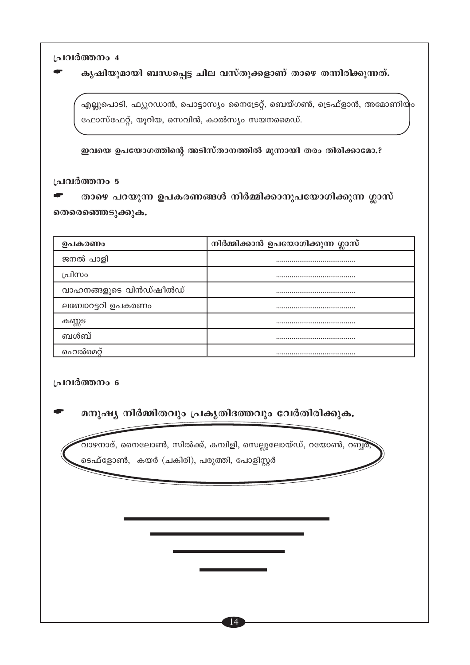കൃഷിയുമായി ബന്ധപ്പെട്ട ചില വസ്തുക്കളാണ് താഴെ തന്നിരിക്കുന്നത്.

എല്ലുപൊടി, ഫ്യുറഡാൻ, പൊട്ടാസ്യം നൈട്രേറ്റ്, ബെയ്ഗൺ, ട്രെഫ്ളാൻ, അമോണിയും ഫോസ്ഫേറ്റ്, യൂറിയ, സെവിൻ, കാൽസ്യം സയനമൈഡ്.

ഇവയെ ഉപയോഗത്തിന്റെ അടിസ്താനത്തിൽ മൂന്നായി തരം തിരിക്കാമോ.?

#### പ്രവർത്തനം 5

താഴെ പറയുന്ന ഉപകരണങ്ങൾ നിർമ്മിക്കാനുപയോഗിക്കുന്ന ഗ്ലാസ് തെരെഞ്ഞെടുക്കുക.

| ഉപകരണം                 | നിർമ്മിക്കാൻ ഉപയോഗിക്കുന്ന ഗ്ലാസ് |
|------------------------|-----------------------------------|
| ജനൽ പാളി               |                                   |
| പ്രിസം                 |                                   |
| വാഹനങ്ങളുടെ വിൻഡ്ഷീൽഡ് |                                   |
| ലബോറട്ടറി ഉപകരണം       |                                   |
| കണ്ണട                  |                                   |
| ബൾബ്                   |                                   |
| ഹെൽമെറ്                |                                   |

#### പ്രവർത്തനം 6

മനുഷ്യ നിർമ്മിതവും പ്രകൃതിദത്തവും വേർതിരിക്കുക.

വാഴനാര്, നൈലോൺ, സിൽക്ക്, കമ്പിളി, സെല്ലുലോയ്ഡ്, റയോൺ, റബ്ബർ ടെഫ്ളോൺ, കയർ (ചകിരി), പരുത്തി, പോളിസ്റ്റർ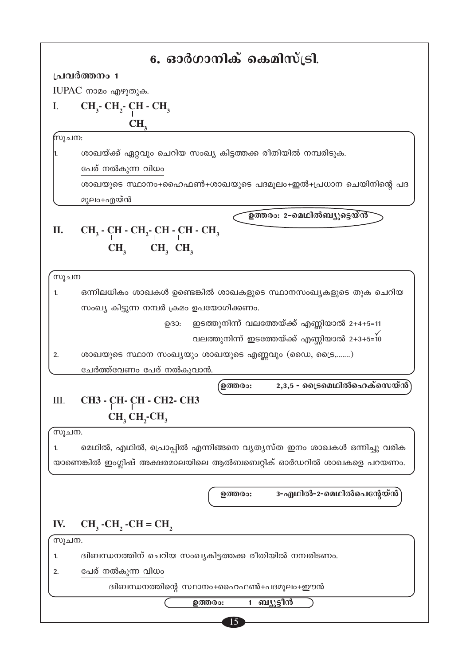|        | 6. ഓർഗാനിക് കെമിസ്ട്രി.                                                                                 |
|--------|---------------------------------------------------------------------------------------------------------|
|        | പ്രവർത്തനം 1                                                                                            |
|        | IUPAC നാമം എഴുതുക.                                                                                      |
| I.     | $CH_3$ - $CH_2$ - $CH$ - $CH_3$                                                                         |
|        | CH <sub>2</sub>                                                                                         |
| സൂചന:  |                                                                                                         |
| 1.     | ശാഖയ്ക്ക് ഏറ്റവും ചെറിയ സംഖ്യ കിട്ടത്തക്ക രീതിയിൽ നമ്പരിടുക.                                            |
|        | പേര് നൽകുന്ന വിധം                                                                                       |
|        | ശാഖയുടെ സ്ഥാനം+ഹൈഫൺ+ശാഖയുടെ പദമൂലം+ഇൽ+പ്രധാന ചെയിനിന്റെ പദ                                              |
|        | മൂലം+എയ്ൻ                                                                                               |
|        | ഉത്തരം: 2-മെഥിൽബ്യൂട്ടെയ്ൻ്                                                                             |
| П.     | $CH_3$ - $CH_3$ - $CH_2$ - $CH$ - $CH_3$                                                                |
|        |                                                                                                         |
|        | $CH3$ $CH3$ $CH3$                                                                                       |
| സൂചന   |                                                                                                         |
| 1.     | ഒന്നിലധികം ശാഖകൾ ഉണ്ടെങ്കിൽ ശാഖകളുടെ സ്ഥാനസംഖ്യകളുടെ തുക ചെറിയ                                          |
|        | സംഖ്യ കിട്ടുന്ന നമ്പർ ക്രമം ഉപയോഗിക്കണം.                                                                |
|        |                                                                                                         |
|        | ഇടത്തുനിന്ന് വലത്തേയ്ക്ക് എണ്ണിയാൽ 2+4+5=11<br>$D(30)$ :<br>വലത്തുനിന്ന് ഇടത്തേയ്ക്ക് എണ്ണിയാൽ 2+3+5=10 |
|        |                                                                                                         |
| 2.     | ശാഖയുടെ സ്ഥാന സംഖ്യയും ശാഖയുടെ എണ്ണവും (ഡൈ, ട്രൈ,)                                                      |
|        | ചേർത്ത്വേണം പേര് നൽകുവാൻ.                                                                               |
|        | 2,3,5 - ട്രൈമെഥിൽഹെക്സെയ്ൻ<br>ഉത്തരം:                                                                   |
| Ш.     | СНЗ - СН - СН - СН2 - СНЗ                                                                               |
|        | CH, CH, CH,                                                                                             |
| ്സൂചന. |                                                                                                         |
| 1.     | മെഥിൽ, എഥിൽ, പ്രൊപ്പിൽ എന്നിങ്ങനെ വ്യത്യസ്ത ഇനം ശാഖകൾ ഒന്നിച്ചു വരിക                                    |
|        | യാണെങ്കിൽ ഇംഗ്ലിഷ് അക്ഷരമാലയിലെ ആൽബബെറ്റിക് ഓർഡറിൽ ശാഖകളെ പറയണം.                                        |
|        |                                                                                                         |
|        | 3-എഥിൽ-2-മെഥിൽപെന്റേയ്ൻ`<br>ഉത്തരം:                                                                     |
|        |                                                                                                         |
| IV.    | $CH_3$ -CH <sub>2</sub> -CH = CH <sub>2</sub>                                                           |
|        |                                                                                                         |
| സൂചന.  |                                                                                                         |
| 1.     | ദ്വിബന്ധനത്തിന് ചെറിയ സംഖ്യകിട്ടത്തക്ക രീതിയിൽ നമ്പരിടണം.                                               |
| 2.     | പേര് നൽകുന്ന വിധം                                                                                       |
|        | ദ്വിബന്ധനത്തിന്റെ സ്ഥാനം+ഹൈഫൺ+പദമൂലം+ഈൻ                                                                 |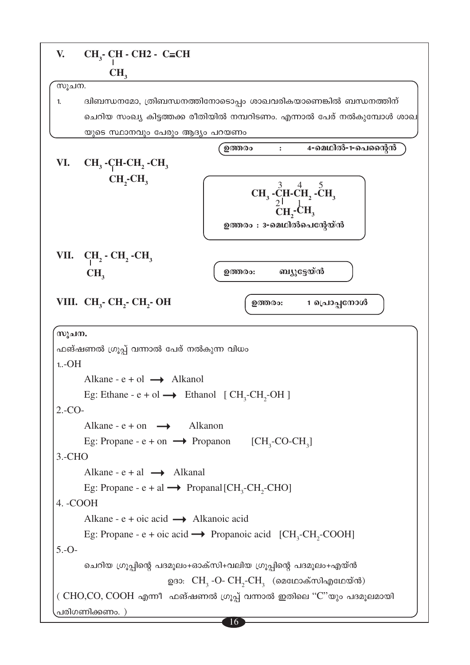| V.                                                                                  | $CH3$ - CH - CH2 - C=CH                                                                          |  |  |
|-------------------------------------------------------------------------------------|--------------------------------------------------------------------------------------------------|--|--|
|                                                                                     | CH <sub>3</sub>                                                                                  |  |  |
| സൂചന.                                                                               |                                                                                                  |  |  |
| 1.                                                                                  | ദ്വിബന്ധനമോ, ത്രിബന്ധനത്തിനോടൊപ്പം ശാഖവരികയാണെങ്കിൽ ബന്ധനത്തിന്                                  |  |  |
|                                                                                     | ചെറിയ സംഖ്യ കിട്ടത്തക്ക രീതിയിൽ നമ്പറിടണം. എന്നാൽ പേര് നൽകുമ്പോൾ ശാഖ                             |  |  |
|                                                                                     | യുടെ സ്ഥാനവും പേരും ആദ്യം പറയണം                                                                  |  |  |
|                                                                                     | 4-മെഥിൽ-1-പെന്റൈൻ<br>ഉത്തരം                                                                      |  |  |
| VI.                                                                                 | $CH_3$ -CH-CH <sub>2</sub> -CH <sub>3</sub>                                                      |  |  |
|                                                                                     | $CH_2CH_3$<br>$CH_3$ -CH-CH <sub>2</sub> -CH <sub>3</sub><br>CH,CH,<br>ഉത്തരം : 3-മെഥിൽപെന്റേയ്ൻ |  |  |
|                                                                                     | VII. $CH_2$ - $CH_2$ - $CH_3$                                                                    |  |  |
|                                                                                     | ബ്യുട്ടേയ്ൻ<br>ഉത്തരം:<br>CH <sub>3</sub>                                                        |  |  |
|                                                                                     |                                                                                                  |  |  |
|                                                                                     | VIII. CH <sub>3</sub> - CH <sub>2</sub> - CH <sub>2</sub> - OH<br>1 പ്രൊപ്പനോൾ<br>ഉത്തരം:        |  |  |
| സൂചന.                                                                               |                                                                                                  |  |  |
|                                                                                     | ഫങ്ഷണൽ ഗ്രൂപ്പ് വന്നാൽ പേര് നൽകുന്ന വിധം                                                         |  |  |
| $1.-OH$                                                                             |                                                                                                  |  |  |
|                                                                                     | Alkane - $e + o1 \rightarrow$ Alkanol                                                            |  |  |
|                                                                                     | Eg: Ethane - e + ol $\rightarrow$ Ethanol [CH <sub>3</sub> -CH <sub>2</sub> -OH]                 |  |  |
| $2.-CO-$                                                                            |                                                                                                  |  |  |
|                                                                                     | Alkane - $e + on \rightarrow$ Alkanon                                                            |  |  |
|                                                                                     | Eg: Propane - e + on $\longrightarrow$ Propanon [CH <sub>3</sub> -CO-CH <sub>3</sub> ]           |  |  |
| $3.-CHO$                                                                            |                                                                                                  |  |  |
|                                                                                     | Alkane - $e + a1 \rightarrow$ Alkanal                                                            |  |  |
| Eg: Propane - $e + al \rightarrow$ Propanal [CH <sub>3</sub> -CH <sub>2</sub> -CHO] |                                                                                                  |  |  |
| 4. - COOH                                                                           |                                                                                                  |  |  |
|                                                                                     | Alkane - $e + oic \text{ acid} \longrightarrow$ Alkanoic acid                                    |  |  |
|                                                                                     | Eg: Propane - e + oic acid $\rightarrow$ Propanoic acid [CH <sub>3</sub> -CH <sub>2</sub> -COOH] |  |  |
| $5.-O-$                                                                             |                                                                                                  |  |  |
|                                                                                     | ചെറിയ ഗ്രൂപ്പിന്റെ പദമൂലം+ഓക്സി+വലിയ ഗ്രൂപ്പിന്റെ പദമൂലം+എയ്ൻ                                    |  |  |
|                                                                                     | ഉദാ: $\text{CH}_{3}$ -O- $\text{CH}_{2}$ -C $\text{H}_{3}$ (മെഥോക്സിഎഥേയ്ൻ)                      |  |  |
|                                                                                     | ( CHO,CO, COOH എന്നീ ഫങ്ഷണൽ ഗ്രൂപ്പ് വന്നാൽ ഇതിലെ "C"യും പദമൂലമായി                               |  |  |
|                                                                                     | പരിഗണിക്കണം. )<br>16                                                                             |  |  |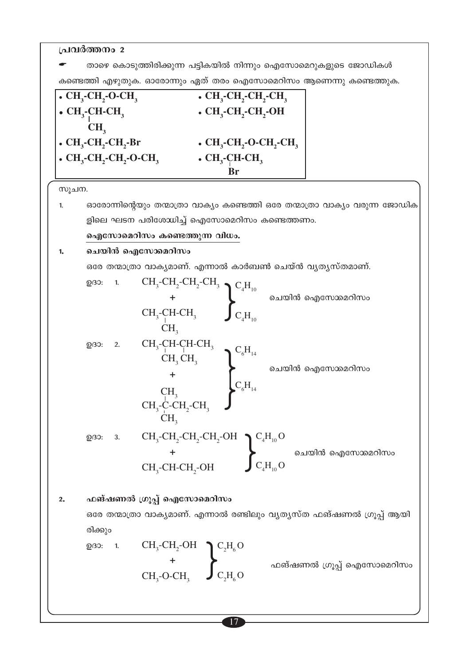താഴെ കൊടുത്തിരിക്കുന്ന പട്ടികയിൽ നിന്നും ഐസോമെറുകളുടെ ജോഡികൾ കണ്ടെത്തി എഴുതുക. ഓരോന്നും ഏത് തരം ഐസോമെറിസം ആണെന്നു കണ്ടെത്തുക.

| $\cdot$ CH <sub>3</sub> -CH <sub>2</sub> -O-CH <sub>3</sub>                  | $\cdot$ CH <sub>2</sub> -CH <sub>2</sub> -CH <sub>2</sub> -CH <sub>3</sub>   |
|------------------------------------------------------------------------------|------------------------------------------------------------------------------|
| $\bullet$ CH <sub>3</sub> -CH-CH <sub>3</sub>                                | $\cdot$ CH <sub>2</sub> -CH <sub>2</sub> -CH <sub>2</sub> -OH                |
| CH <sub>2</sub>                                                              |                                                                              |
| $\bullet$ CH <sub>3</sub> -CH <sub>2</sub> -CH <sub>2</sub> -Br              | $\cdot$ CH <sub>2</sub> -CH <sub>2</sub> -O-CH <sub>2</sub> -CH <sub>3</sub> |
| $\cdot$ CH <sub>3</sub> -CH <sub>2</sub> -CH <sub>2</sub> -O-CH <sub>3</sub> | $\cdot$ CH <sub>3</sub> -CH-CH <sub>3</sub>                                  |
|                                                                              |                                                                              |

സൂചന.

ഓരോന്നിന്റെയും തന്മാത്രാ വാക്യം കണ്ടെത്തി ഒരേ തന്മാത്രാ വാക്യം വരുന്ന ജോഡിക  $1.$ ളിലെ ഘടന പരിശോധിച്ച് ഐസോമെറിസം കണ്ടെത്തണം. ഐസോമെറിസം കണ്ടെത്തുന്ന വിധം.

ചെയിൻ ഐസോമെറിസം  $1.$ 

ഒരേ തന്മാത്രാ വാകൃമാണ്. എന്നാൽ കാർബൺ ചെയ്ൻ വൃതൃസ്തമാണ്.

233: 1. 
$$
CH_3-CH_2-CH_2-CH_3
$$
  
\n+  $CH_3$   
\n $CH_3-CH-CH_3$   
\n $CH_3$   
\n $CH_3$   
\n $CH_3$   
\n $CH_3CH_3$   
\n+  $CH_3CH_3$   
\n $CH_3CH_3$   
\n $CH_3CH_3$   
\n $CH_3CH_3$   
\n $CH_3-CH_2-CH_3$   
\n $CH_3-CH_2-CH_3$   
\n $CH_3$   
\n $CH_3$   
\n $CH_3$   
\n $CH_3$   
\n $CH_3$   
\n $CH_3$   
\n $CH_3$   
\n $CH_3$   
\n $CH_3$   
\n $CH_3$   
\n $CH_3$   
\n $CH_3$   
\n $CH_3-CH_2-CH_3$ 

$$
\text{Q33:} \quad 3. \quad CH_3\text{-CH}_2\text{-CH}_2\text{-CH}_2\text{-OH} \quad \text{Q2H}_{10}\text{O} \quad \text{Q3D} \quad \text{Q3D} \quad \text{Q4H}_{10}\text{O}
$$

ഫങ്ഷണൽ ഗ്രൂപ്പ് ഐസോമെറിസം  $2.$ 

> ഒരേ തന്മാത്രാ വാക്യമാണ്. എന്നാൽ രണ്ടിലും വ്യത്യസ്ത ഫങ്ഷണൽ ഗ്രൂപ്പ് ആയി രിക്കും

$$
\begin{array}{ccc}\n\text{Q33:} & 1. & \text{CH}_3\text{-CH}_2\text{-OH} \\
 & + & \text{CH}_3\text{-O-CH}_3\n\end{array}\n\begin{array}{c}\n\text{C}_2\text{H}_6\text{O} \\
\text{C}_2\text{H}_6\text{O}\n\end{array}
$$

ഫങ്ഷണൽ ഗ്രൂപ്പ് ഐസോമെറിസം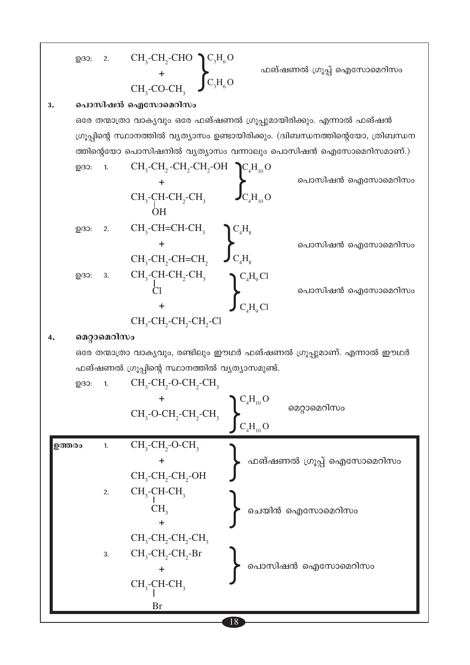$$
\begin{array}{ccc}\n\text{Q33:} & 2. & \text{CH}_3\text{-CH}_2\text{-CHO} & \text{C}_3\text{H}_6\text{O} \\
& & + & \text{CH}_3\text{-CO-CH}_3 & \text{C}_3\text{H}_6\text{O}\n\end{array}
$$

ഫങ്ഷണൽ ഗ്രൂപ്പ് ഐസോമെറിസം

#### പൊസിഷൻ ഐസോമെറിസം  $3.$

ഒരേ തന്മാത്രാ വാക്യവും ഒരേ ഫങ്ഷണൽ ഗ്രൂപ്പുമായിരിക്കും. എന്നാൽ ഫങ്ഷൻ ഗ്രൂപ്പിന്റെ സ്ഥാനത്തിൽ വ്യത്യാസം ഉണ്ടായിരിക്കും. (ദിബന്ധനത്തിന്റെയോ, ത്രിബന്ധന ത്തിന്റെയോ പൊസിഷനിൽ വ്യത്യാസം വന്നാലും പൊസിഷൻ ഐസോമെറിസമാണ്.) CH CH CH CH OH **ACH O** 

$$
CH_{3}-CH_{2}-CH_{2}-CH_{3}
$$
\n
$$
CH_{3}-CH_{2}-CH_{2}-CH_{3}
$$
\n
$$
CH_{3}-CH_{2}-CH_{2}-CH_{3}
$$
\n
$$
CH_{3}-CH_{2}-CH_{2}-CH_{3}
$$
\n
$$
CH_{3}-CH_{2}-CH_{2}-CH_{3}
$$
\n
$$
CH_{3}-CH_{2}-CH_{2}-CH_{2}
$$
\n
$$
CH_{3}-CH_{2}-CH_{2}-CH_{2}
$$
\n
$$
CH_{3}-CH_{2}-CH_{2}-CH_{3}
$$
\n
$$
CH_{3}-CH_{2}-CH_{2}-CH_{3}
$$
\n
$$
CH_{3}-CH_{2}-CH_{2}-CH_{3}
$$
\n
$$
CH_{3}-CH_{2}-CH_{2}-CH_{3}
$$
\n
$$
CH_{3}-CH_{2}-CH_{2}-CH_{3}
$$
\n
$$
CH_{3}-CH_{2}-CH_{2}-CH_{3}
$$
\n
$$
CH_{3}-CH_{2}-CH_{2}-CH_{3}
$$
\n
$$
CH_{3}-CH_{2}-CH_{2}-CH_{3}-Cl
$$
\n
$$
CH_{3}-CH_{2}-CH_{2}-CH_{2}-Cl
$$
\n
$$
CH_{3}-CH_{2}-CH_{2}-CH_{2}-Cl
$$

#### മെറ്റാമെറിസം  $4.$

ഒരേ തന്മാത്രാ വാക്യവും, രണ്ടിലും ഈഥർ ഫങ്ഷണൽ ഗ്രൂപ്പുമാണ്. എന്നാൽ ഈഥർ ഫങ്ഷണൽ ഗ്രൂപ്പിന്റെ സ്ഥാനത്തിൽ വ്യത്യാസമുണ്ട്.

<sup>18</sup>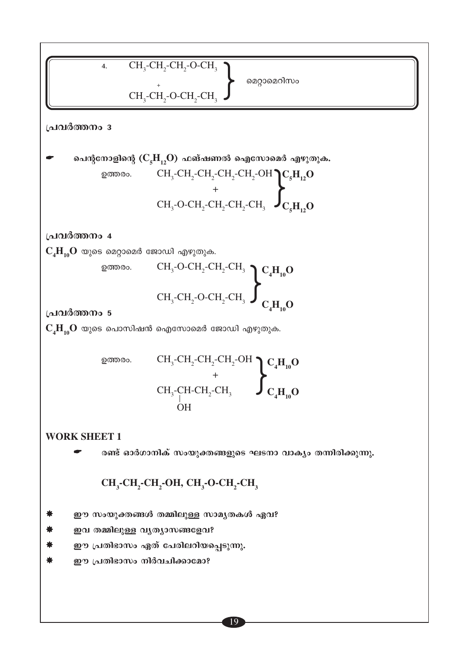4. CH<sub>3</sub>-CH<sub>2</sub>-CH<sub>2</sub>-O-CH<sub>3</sub>  
\nCH<sub>3</sub>-CH<sub>2</sub>-CH<sub>2</sub>-O-H<sub>3</sub>  
\nCH<sub>3</sub>-CH<sub>2</sub>-CH<sub>2</sub>-CH<sub>3</sub>  
\nand 
$$
CH_3
$$
 (C<sub>8</sub>H<sub>12</sub>O) and  $At$  and  $at$  (C<sub>8</sub>H<sub>10</sub>O)  
\nand  $at$  (C<sub>8</sub>H<sub>10</sub>O) and  $at$  (C<sub>8</sub>H<sub>10</sub>O) and  $at$  (C<sub>8</sub>H<sub>10</sub>O) and  $at$  (C<sub>8</sub>H<sub>10</sub>O) and  $at$  (C<sub>8</sub>H<sub>10</sub>O) and  $at$  (C<sub>8</sub>H<sub>10</sub>O) and  $at$  (C<sub>8</sub>H<sub>10</sub>O) and  $at$  (C<sub>8</sub>H<sub>10</sub>O) and  $at$  (C<sub>8</sub>H<sub>10</sub>O) and  $at$  (C<sub>8</sub>H<sub>10</sub>O) and  $at$  (C<sub>8</sub>H<sub>10</sub>O) and  $at$  (C<sub>8</sub>H<sub>10</sub> – C<sub>8</sub> – C<sub>8</sub>-C<sub>8</sub>-C<sub>8</sub>-C<sub>8</sub>-C<sub>8</sub>-C<sub>8</sub>-C<sub>8</sub>-C<sub>8</sub>-C<sub>8</sub>-C<sub>8</sub>-C<sub>8</sub>-C<sub>8</sub>-C<sub>8</sub>-C<sub>8</sub>-C<sub>8</sub>-C<sub>8</sub>-C<sub>8</sub>-C<sub>8</sub>-C<sub>8</sub>-C<sub>8</sub>-C<sub>8</sub>-C<sub>8</sub>-C<sub>8</sub>-C<sub>8</sub>-C<sub>8</sub>-C<sub>8</sub>-C<sub>8</sub>-C<sub>8</sub>-C<sub>8</sub>-C<sub>8</sub>-C<sub>8</sub>-C<sub>8</sub>-C<sub>8</sub>-C

I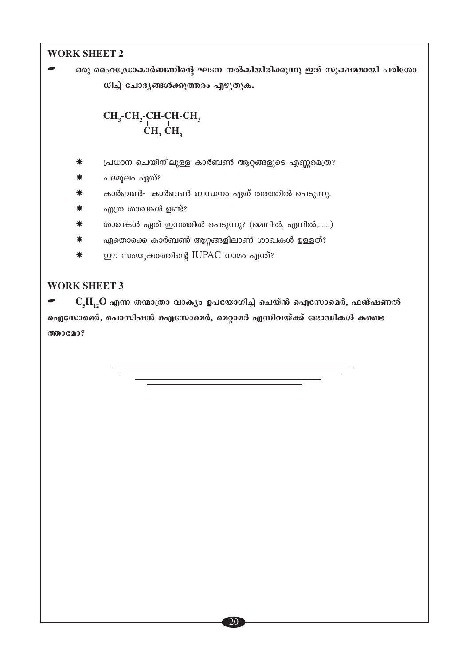#### **WORK SHEET 2**

ഒരു ഹൈഡ്രോകാർബണിന്റെ ഘടന നൽകിയിരിക്കുന്നു ഇത് സുക്ഷമമായി പരിശോ ധിച്ച് ചോദ്യങ്ങൾക്കുത്തരം എഴുതുക.

# $\operatorname{CH_3\text{-}CH_2\text{-}CH\text{-}CH\text{-}CH_3\text{-}CH_3\text{-}CH_3} \xrightarrow{\text{CH}_3\text{CH}_3} \xrightarrow{\text{CH}_3} \xrightarrow{\text{CH}_3}$

- പ്രധാന ചെയിനിലുള്ള കാർബൺ ആറ്റങ്ങളുടെ എണ്ണമെത്ര?
- പദമൂലം ഏത്?
- കാർബൺ- കാർബൺ ബന്ധനം ഏത് തരത്തിൽ പെടുന്നു.
- എത്ര ശാഖകൾ ഉണ്ട്?
- ശാഖകൾ ഏത് ഇനത്തിൽ പെടുന്നു? (മെഥിൽ, എഥിൽ,......)
- ഏതൊക്കെ കാർബൺ ആറ്റങ്ങളിലാണ് ശാഖകൾ ഉള്ളത്? ∗
- ₩ ഈ സംയുക്തത്തിന്റെ IUPAC നാമം എന്ത്?

#### **WORK SHEET 3**

 $C_{5}H_{12}O$  എന്ന തന്മാത്രാ വാക്യം ഉപയോഗിച്ച് ചെയ്ൻ ഐസോമെർ, ഫങ്ഷണൽ ഐസോമെർ, പൊസിഷൻ ഐസോമെർ, മെറ്റാമർ എന്നിവയ്ക്ക് ജോഡികൾ കണ്ടെ **അാമോ?**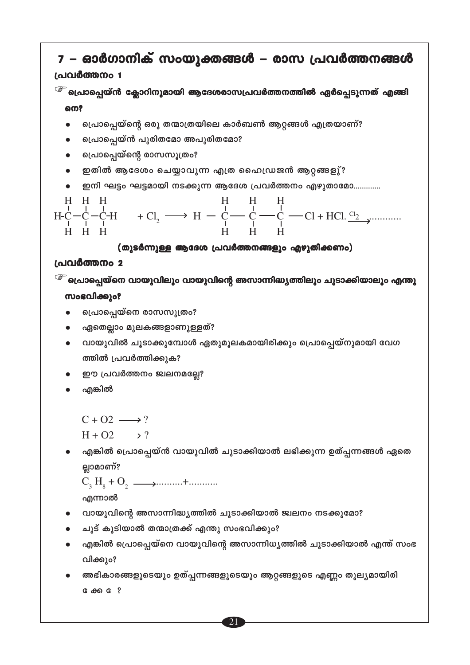```
& ക്ക േ?
```
- വിക്കും? അഭികാരങ്ങളുടെയും ഉത്പ്പന്നങ്ങളുടെയും ആറ്റങ്ങളുടെ എണ്ണം തുല്യമായിരി
- എങ്കിൽ പ്രൊപ്പെയ്നെ വായുവിന്റെ അസാന്നിധൃത്തിൽ ചൂടാക്കിയാൽ എന്ത് സംഭ
- ചൂട് കൂടിയാൽ തന്മാത്രക്ക് എന്തു സംഭവിക്കും?
- വായുവിന്റെ അസാന്നിദ്ധ്യത്തിൽ ചൂടാക്കിയാൽ ജ്വലനം നടക്കുമോ?

എന്നാൽ

ല്ലാമാണ്?

- എങ്കിൽ പ്രൊപ്പെയ്ൻ വായുവിൽ ചൂടാക്കിയാൽ ലഭിക്കുന്ന ഉത്പ്പന്നങ്ങൾ ഏതെ
- $H + O2 \longrightarrow ?$
- 
- $C + O2 \longrightarrow ?$
- എങ്കിൽ
- ഈ പ്രവർത്തനം ജ്വലനമല്ലേ?
- ത്തിൽ പ്രവർത്തിക്കുക?
- വായുവിൽ ചൂടാക്കുമ്പോൾ ഏതുമൂലകമായിരിക്കും പ്രൊപ്പെയ്നുമായി വേഗ
- ഏതെല്ലാം മൂലകങ്ങളാണുള്ളത്?

പ്രൊപ്പെയ്ന്റെ രാസസൂത്രം?

പ്രൊപ്പെയ്നെ രാസസൂത്രം?

#### **സംഭവിക്കും?**

<sup>്ട്ര്</sup> പ്രൊപ്പെയ്നെ വായുവിലും വായുവിന്റെ അസാന്നിദ്ധൃത്തിലും ചൂടാക്കിയാലും എന്തു

#### പ്രവർത്തനം 2

#### (തുടർന്നുള്ള ആദേശ പ്രവർത്തനങ്ങളും എഴുതിക്കണം)



- ഇതിൽ ആദേശം ചെയ്യാവുന്ന എത്ര ഹൈഡ്രജൻ ആറ്റങ്ങളു്?
- 
- 

ഇനി ഘട്ടം ഘട്ടമായി നടക്കുന്ന ആദേശ പ്രവർത്തനം എഴുതാമോ.............

### പ്രൊപ്പെയ്ൻ പൂരിതമോ അപൂരിതമോ?

പ്രൊപ്പെയ്ന്റെ ഒരു തന്മാത്രയിലെ കാർബൺ ആറ്റങ്ങൾ എത്രയാണ്?

### നെ?

### പ്രവർത്തനം 1 <sup>്ട്രം</sup> പ്രൊപ്പെയ്ൻ ക്ലോറിനുമായി ആദേശരാസപ്രവർത്തനത്തിൽ ഏർപ്പെടുന്നത് എങ്ങി

### 7 – ഓർഗാനിക് സംയുക്തങ്ങൾ – രാസ പ്രവർത്തനങ്ങൾ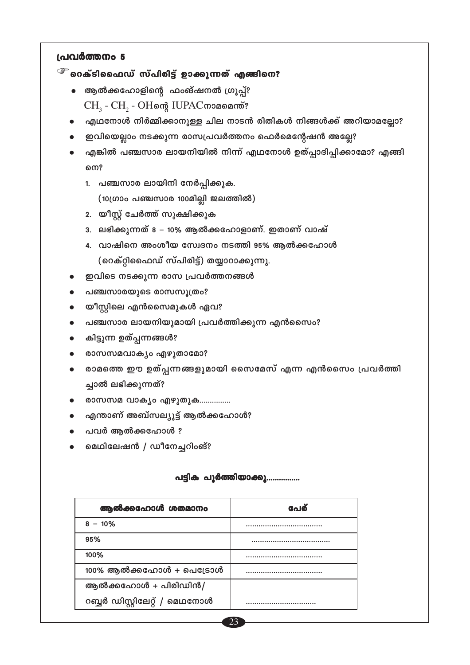#### $^\circledcirc$  റെക്ടിഫൈഡ് സ്പിരിട്ട് ഉാക്കുന്നത് എങ്ങിനെ?

- ആൽക്കഹോളിന്റെ ഫംങ്ഷനൽ ഗ്രൂപ്പ്? CH<sub>3</sub> - CH<sub>2</sub> - OHளு IUPAC மைவையை
- എഥനോൾ നിർമ്മിക്കാനുള്ള ചില നാടൻ രിതികൾ നിങ്ങൾക്ക് അറിയാമല്ലോ?
- ഇവിയെല്ലാം നടക്കുന്ന രാസപ്രവർത്തനം ഫെർമെന്റേഷൻ അല്ലേ?
- എങ്കിൽ പഞ്ചസാര ലായനിയിൽ നിന്ന് എഥനോൾ ഉത്പ്പാദിപ്പിക്കാമോ? എങ്ങി നെ?
	- 1. പഞ്ചസാര ലായിനി നേർപ്പിക്കുക. (10ഗ്രാം പഞ്ചസാര 100മില്ലി ജലത്തിൽ)
	- 2. യീസ്റ്റ് ചേർത്ത് സൂക്ഷിക്കുക
	- 3. ലഭിക്കുന്നത് 8 10% ആൽക്കഹോളാണ്. ഇതാണ് വാഷ്
	- 4. വാഷിനെ അംശീയ സ്വേദനം നടത്തി 95% ആൽക്കഹോൾ (റെക്റ്റിഫൈഡ് സ്പിരിട്ട്) തയ്യാറാക്കുന്നു.
- ഇവിടെ നടക്കുന്ന രാസ പ്രവർത്തനങ്ങൾ
- പഞ്ചസാരയുടെ രാസസൂത്രം?
- യീസ്റ്റിലെ എൻസൈമുകൾ ഏവ?  $\bullet$
- പഞ്ചസാര ലായനിയുമായി പ്രവർത്തിക്കുന്ന എൻസൈം?  $\bullet$
- കിട്ടുന്ന ഉത്പ്പന്നങ്ങൾ?
- രാസസമവാകൃം എഴുതാമോ?
- രാമത്തെ ഈ ഉത്പ്പന്നങ്ങളുമായി സൈമേസ് എന്ന എൻസൈം പ്രവർത്തി  $\bullet$ ച്ചാൽ ലഭിക്കുന്നത്?
- രാസസമ വാക്യം എഴുതുക...............
- എന്താണ് അബ്സല്യൂട്ട് ആൽക്കഹോൾ?
- പവർ ആൽക്കഹോൾ ?
- മെഥിലേഷൻ / ഡീനേച്ചറിംങ്?

#### പട്ടിക പൂർത്തിയാക്കു...............

| ആൽക്കഹോൾ ശതമാനം               | പേര് |
|-------------------------------|------|
| $8 - 10\%$                    |      |
| 95%                           |      |
| 100%                          |      |
| $100\%$ ആൽക്കഹോൾ + പെട്രോൾ    |      |
| ആൽക്കഹോൾ + പിരിഡിൻ/           |      |
| റബ്ബർ ഡിസ്റ്റിലേറ്റ് / മെഥനോൾ | .    |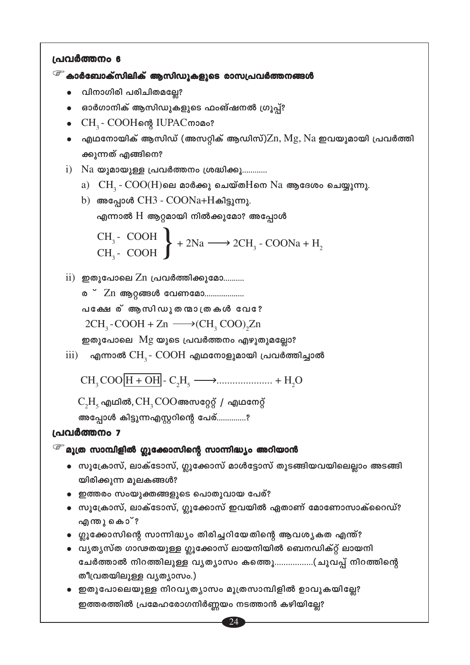<sup>്ട്ര</sup> കാർബോക്സിലിക് ആസിഡുകളുടെ രാസപ്രവർത്തനങ്ങൾ

- വിനാഗിരി പരിചിതമല്ലേ?
- ഓർഗാനിക് ആസിഡുകളുടെ ഫംങ്ഷനൽ ഗ്രൂപ്പ്?
- CH<sub>3</sub> COOHள& IUPAC moമം?
- $\bullet$  എഥനോയിക് ആസിഡ് (അസറ്റിക് ആഡിസ്) $\rm Zn, Mg, Na$  ഇവയുമായി പ്രവർത്തി ക്കുന്നത് എങ്ങിനെ?
- $i)$  Na യുമായുള്ള പ്രവർത്തനം ശ്രദ്ധിക്കൂ............
	- $a)$   $CH<sub>2</sub>$   $COO(H)$ ലെ മാർക്കു ചെയ്ത $H$ നെ  $Na$  ആദേശം ചെയ്യുന്നു.
	- b) അപ്പോൾ CH3  $COONa+H$ കിട്ടുന്നു. എന്നാൽ  $H$  ആറ്റമായി നിൽക്കുമോ? അപ്പോൾ

CH<sub>3</sub>- COOH  
CH<sub>3</sub>- COOH 
$$
\longrightarrow
$$
 2CH<sub>3</sub>-COONa + H<sub>2</sub>

 $\overline{\text{ii}}$ ) ഇതുപോലെ  $\text{Zn}$  പ്രവർത്തിക്കുമോ..........

ര<sup>്</sup> Zn ആറ്റങ്ങൾ വേണമോ................... പക്ഷേര് ആസിഡുതന്മാത്രകൾ വേ?  $2CH_2$ -COOH + Zn  $\longrightarrow$  (CH, COO), Zn

ഇതുപോലെ  $Mg$  യുടെ പ്രവർത്തനം എഴുതുമല്ലോ?

 $\overline{\text{iii}}$ ) എന്നാൽ  $\text{CH}_{3}$ -  $\text{COOH}$  എഥനോളുമായി പ്രവർത്തിച്ചാൽ

 $C_2H_5$  എഥിൽ,  $CH_3COO$ അസറ്റേറ്റ് / എഥനേറ്റ്

അപ്പോൾ കിട്ടുന്നഎസ്റ്ററിന്റെ പേര്..............?

#### പ്രവർത്തനം 7

```
^\circledcirc മൂത്ര സാമ്പിളിൽ ഗ്ലൂക്കോസിന്റെ സാന്നിദ്ധ്യം അറിയാൻ
```
- സൂക്രോസ്, ലാക്ടോസ്, ഗ്ലൂക്കോസ് മാൾട്ടോസ് തുടങ്ങിയവയിലെല്ലാം അടങ്ങി യിരിക്കുന്ന മുലകങ്ങൾ?
- ഇത്തരം സംയുക്തങ്ങളുടെ പൊതുവായ പേര്?
- സൂക്രോസ്, ലാക്ടോസ്, ഗ്ലൂക്കോസ് ഇവയിൽ ഏതാണ് മോണോസാക്റൈഡ്? എന്തു കൊ്?
- ഗ്ലൂക്കോസിന്റെ സാന്നിദ്ധ്യം തിരിച്ചറിയേതിന്റെ ആവശ്യകത എന്ത്?
- വൃതൃസ്ത ഗാഢതയുള്ള ഗ്ലൂക്കോസ് ലായനിയിൽ ബെനഡിക്റ്റ് ലായനി ചേർത്താൽ നിറത്തിലുള്ള വൃത്യാസം കത്തെൂ…………….(ചുവപ്പ് നിറത്തിന്റെ തീവ്രതയിലുള്ള വൃത്യാസം.)

24

• ഇതുപോലെയുള്ള നിറവൃത്യാസം മൂത്രസാമ്പിളിൽ ഉാവുകയില്ലേ? ഇത്തരത്തിൽ പ്രമേഹരോഗനിർണ്ണയം നടത്താൻ കഴിയില്ലേ?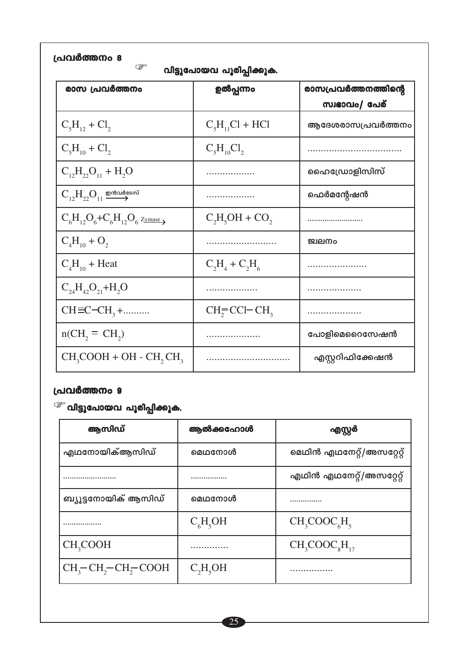| പ്രവർത്തനം 8 |  |
|--------------|--|
|--------------|--|

<sup>്ട്ട്</sup> വിട്ടുപോയവ പൂരിപ്പിക്കുക.

| ._._.                                              |                     |                      |  |
|----------------------------------------------------|---------------------|----------------------|--|
| രാസ പ്രവർത്തനം                                     | ഉൽപ്പന്നം           | രാസപ്രവർത്തനത്തിന്റെ |  |
|                                                    |                     | സ്വഭാവം/ പേര്        |  |
| $C_5H_{12} + Cl_2$                                 | $C_5H_{11}Cl + HCl$ | ആദേശരാസപ്രവർത്തനം    |  |
| $C_5H_{10} + Cl_2$                                 | $C_5H_{10}Cl_2$     |                      |  |
| $C_{12}H_{22}O_{11} + H_2O$                        |                     | ഹൈഡ്രോളിസിസ്         |  |
| $C_{12}H_{22}O_{11} \stackrel{\text{mod}$ được say |                     | ഫെർമന്റേഷൻ           |  |
| $C_6H_{12}O_6+C_6H_{12}O_6$ Zymase                 | $C_2H_5OH + CO_2$   |                      |  |
| $C_4H_{10} + O_2$                                  |                     | ജ്വലനം               |  |
| $C_4H_{10}$ + Heat                                 | $C_2H_4 + C_2H_6$   |                      |  |
| $C_{24}H_{42}O_{21} + H_2O$                        |                     |                      |  |
| $CH \equiv C - CH_3 + \dots$                       | $CH_2=CCI-CH_3$     | . <b>.</b> .         |  |
| $n(CH_2 = CH_2)$                                   |                     | പോളിമെറൈസേഷൻ         |  |
| $CH_3COOH + OH - CH_2CH_3$                         |                     | എസ്റ്ററിഫിക്കേഷൻ     |  |

 $\widehat{\mathscr{F}}$  വിട്ടുപോയവ പൂരിപ്പിക്കുക.

| ആസിഡ്                                          | ആൽക്കഹോൾ   | എസ്റ്റർ                   |
|------------------------------------------------|------------|---------------------------|
| എഥനോയിക്ആസിഡ്                                  | മെഥനോൾ     | മെഥിൻ എഥനേറ്റ്/അസറ്റേറ്റ് |
|                                                |            | എഥിൻ എഥനേറ്റ്/അസറ്റേറ്റ്  |
| ബ്യൂട്ടനോയിക് ആസിഡ്                            | മെഥനോൾ     | .                         |
|                                                | $C_6H_5OH$ | $CH_3COOC_6H_5$           |
| CH <sub>3</sub> COOH                           |            | $CH_3COOC_8H_{17}$        |
| $CH_3$ -CH <sub>2</sub> -CH <sub>2</sub> -COOH | $C_2H_5OH$ | .                         |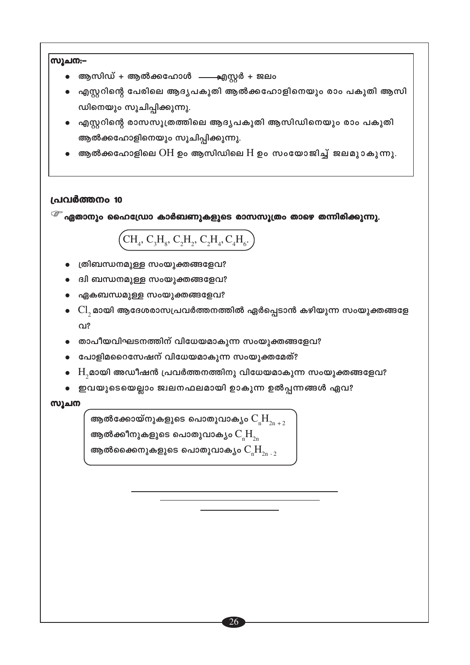# സൂചന:-ആസിഡ് + ആൽക്കഹോൾ  $\qquad$  എസ്റ്റർ + ജലം എസ്റ്ററിന്റെ പേരിലെ ആദൃപകുതി ആൽക്കഹോളിനെയും രാം പകുതി ആസി ഡിനെയും സൂചിപ്പിക്കുന്നു. എസ്റ്ററിന്റെ രാസസൂത്രത്തിലെ ആദ്യപകുതി ആസിഡിനെയും രാം പകുതി ആൽക്കഹോളിനെയും സൂചിപ്പിക്കുന്നു. ആൽക്കഹോളിലെ  $OH$  ഉം ആസിഡിലെ  $H$  ഉം സംയോജിച്ച് ജലമുാകുന്നു. പ്രവർത്തനം 10  $^\circledcirc$  ഏതാനും ഹൈഡ്രോ കാർബണുകളുടെ രാസസൂത്രം താഴെ തന്നിരിക്കുന്നു.  $\left(\mathrm{CH}_4^\mathrm{ } ,\, \mathrm{C}_3\mathrm{H}_8^\mathrm{ } ,\, \mathrm{C}_2\mathrm{H}_2^\mathrm{ } ,\, \mathrm{C}_2\mathrm{H}_4^\mathrm{ } ,\, \mathrm{C}_4\mathrm{H}_6^\mathrm{ } ,\right)$ ത്രിബന്ധനമുള്ള സംയുക്തങ്ങളേവ? ദ്വി ബന്ധനമുള്ള സംയുക്തങ്ങളേവ? ഏകബന്ധമുള്ള സംയുക്തങ്ങളേവ?  $\rm Cl_{_2}$ മായി ആദേശരാസപ്രവർത്തനത്തിൽ ഏർപ്പെടാൻ കഴിയുന്ന സംയുക്തങ്ങളേ  $Q_{12}$ താപീയവിഘടനത്തിന് വിധേയമാകുന്ന സംയുക്തങ്ങളേവ? പോളിമറൈസേഷന് വിധേയമാകുന്ന സംയുക്തമേത്?  $\mathrm{H}_{2}$ മായി അഡീഷൻ പ്രവർത്തനത്തിനു വിധേയമാകുന്ന സംയുക്തങ്ങളേവ? • ഇവയുടെയെല്ലാം ജ്വലനഫലമായി ഉാകുന്ന ഉൽപ്പന്നങ്ങൾ ഏവ? സൂചന ആൽക്കോയ്നുകളുടെ പൊതുവാകൃം  $\mathrm{C_rH}_{2n+2}$ ആൽക്കീനുകളുടെ പൊതുവാക്യം  $\rm C_{_{n}}\rm H_{_{2n}}$ ആൽക്കൈനുകളുടെ പൊതുവാക്യം  $\mathrm{C_rH}_{\gamma_{n-2}}$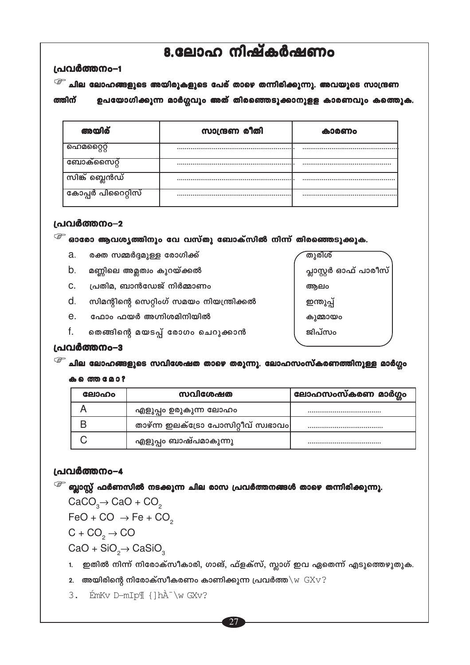## 8.ലോഹ നിഷ്കർഷണം

#### പ്രവർത്തനം-1

<sup>്ട്രా</sup> ചില ലോഹങ്ങളുടെ അയിരുകളുടെ പേര് താഴെ തന്നിരിക്കുന്നു. അവയുടെ സാന്ദ്രണ ഉപയോഗിക്കുന്ന മാർഗ്ഗവും അത് തിരഞ്ഞെടുക്കാനുളള കാരണവും കത്തുെ. ത്തിന്

| അയിര്              | സാന്ദ്രണ രീതി | കാരണം |
|--------------------|---------------|-------|
| ഹെമറ്റൈറ്റ്        |               |       |
| ബോക്സൈറ്റ്         |               |       |
| സിങ്ക് ബ്ലെൻഡ്     |               |       |
| ്കോപ്പർ പിറൈറ്റിസ് |               |       |

#### പ്രവർത്തനം-2

 $\widehat{\mathscr{E}}$  ഓരോ ആവശ്യത്തിനും വേ വസ്തു ബോക്സിൽ നിന്ന് തിരഞ്ഞെടുക്കുക.

- a. രക്ത സമ്മർദ്ദമുള്ള രോഗിക്ക്
- $b_{\cdot}$ മണ്ണിലെ അമ്ലത്വം കുറയ്ക്കൽ
- പ്രതിമ, ബാൻഡേജ് നിർമ്മാണം C.
- d. സിമന്റിന്റെ സെറ്റിംഗ് സമയം നിയന്ത്രിക്കൽ
- $e_{1}$ ഫോം ഫയർ അഗ്നിശമിനിയിൽ
- f. തെങ്ങിന്റെ മയടപ്പ് രോഗം ചെറുക്കാൻ

തുരിശ് പ്ലാസ്റ്റർ ഓഫ് പാരീസ് ആലം ഇന്തുപ്പ് കുമ്മായം ജിപ്സം

#### പ്രവർത്തനം-3

<sup>്ട്ര്</sup> ചില ലോഹങ്ങളുടെ സവിശേഷത താഴെ തരുന്നു. ലോഹസംസ്കരണത്തിനുള്ള മാർഗ്ഗം

#### ക െത്ത മോ?

| ലോഹം | സവിശേഷത                             | ഭലാഹസംസ്കരണ മാർഗ്ഗം |
|------|-------------------------------------|---------------------|
|      | എളുപ്പം ഉരുകുന്ന ലോഹം               |                     |
|      | താഴ്ന്ന ഇലക്ട്രോ പോസിറ്റീവ് സ്വഭാവം |                     |
|      | എളുപ്പം ബാഷ്പമാകുന്നു               |                     |

#### പ്രവർത്തനം-4

 $\widehat{\mathscr{E}}$  ബ്ലാസ്റ്റ് ഫർണസിൽ നടക്കുന്ന ചില രാസ പ്രവർത്തനങ്ങൾ താഴെ തന്നിരിക്കുന്നു.  $CaCO<sub>3</sub> \rightarrow CaO + CO<sub>2</sub>$ 

 $FeO + CO \rightarrow Fe + CO$ 

 $C + CO<sub>2</sub> \rightarrow CO$ 

 $CaO + SiO<sub>2</sub> \rightarrow CaSiO<sub>3</sub>$ 

- 1. ഇതിൽ നിന്ന് നിരോക്സീകാരി, ഗാങ്, ഫ്ളക്സ്, സ്ലാഗ് ഇവ ഏതെന്ന് എടുത്തെഴുതുക.
- 2. അയിരിന്റെ നിരോക്സീകരണം കാണിക്കുന്ന പ്രവർത്ത $\sqrt{w}$   $GXY$ ?
- 3. EmKv D-mIp¶ { ] hÀ \w GXv?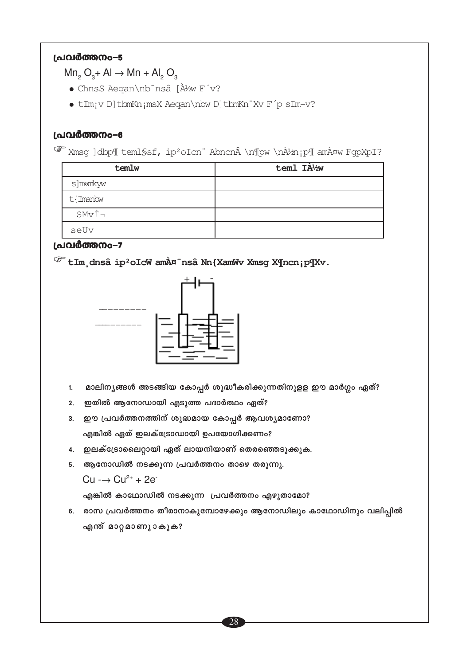#### (പവർത്തനം–5

 $Mn_2 O_3 + Al \rightarrow Mn + Al_2 O_3$ 

- ChnsS Aegan\nb-nsâ [À½w F v?
- · tIm; v D] tbmKn; msX Aeqan\nbw D] tbmKn"Xv F p sIm-v?

#### പ്രവർത്തനം-6

Wmsg ]dbp¶ teml§sf, ip<sup>2</sup>oIcn" Abncn \n¶pw \nÀ½n;p¶ amÀ¤w FgpXpI?

| temlw           | teml IA1/2W |
|-----------------|-------------|
| s]mkmkyw        |             |
| t{Imanbw        |             |
| $S M v \dot{I}$ |             |
| seUv            |             |

#### പ്രവർത്തനം-7

<sup>@</sup> tIm dnsâ ip<sup>2</sup>oIcW amÀ¤ nsâ Nn{XamWv Xmsg X¶ncn;p¶Xv.



- മാലിന്യങ്ങൾ അടങ്ങിയ കോപ്പർ ശുദ്ധീകരിക്കുന്നതിനുളള ഈ മാർഗ്ഗം ഏത്?  $1.$
- 2. ഇതിൽ ആനോഡായി എടുത്ത പദാർത്ഥം ഏത്?
- 3. ഈ പ്രവർത്തനത്തിന് ശുദ്ധമായ കോപ്പർ ആവശ്യമാണോ? എങ്കിൽ ഏത് ഇലക്ട്രോഡായി ഉപയോഗിക്കണം?
- 4. ഇലക്ട്രോലൈറ്റായി ഏത് ലായനിയാണ് തെരഞ്ഞെടുക്കുക.
- 5. ആനോഡിൽ നടക്കുന്ന പ്രവർത്തനം താഴെ തരുന്നു.

 $Cu \rightarrow Cu^{2+} + 2e^{-}$ 

എങ്കിൽ കാഥോഡിൽ നടക്കുന്ന പ്രവർത്തനം എഴുതാമോ?

6. രാസ പ്രവർത്തനം തീരാനാകുമ്പോഴേക്കും ആനോഡിലും കാഥോഡിനും വലിപ്പിൽ എന്ത് മാറ്റമാണുാകുക?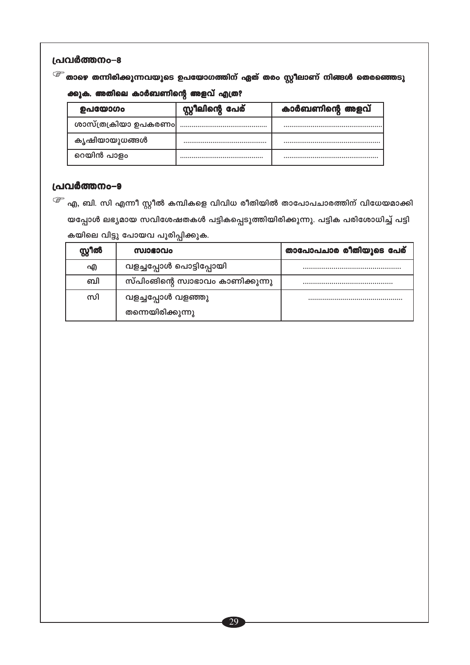### $\widehat{\mathscr{E}}$  താഴെ തന്നിരിക്കുന്നവയുടെ ഉപയോഗത്തിന് ഏത് തരം സ്റ്റീലാണ് നിങ്ങൾ തെരഞ്ഞെടു

#### ക്കുക. അതിലെ കാർബണിന്റെ അളവ് എത്ര?

| ഉപയോഗം               | സ്റ്റീലിന്റെ പേര് | കാർബണിന്റെ അളവ് |
|----------------------|-------------------|-----------------|
| ശാസ്ത്രക്രിയാ ഉപകരണം |                   |                 |
| കൃഷിയായുധങ്ങൾ        |                   |                 |
| റെയിൻ പാളം           |                   |                 |

#### പ്രവർത്തനം-9

 $\widehat{\mathscr{E}}$  എ, ബി. സി എന്നീ സ്റ്റീൽ കമ്പികളെ വിവിധ രീതിയിൽ താപോപചാരത്തിന് വിധേയമാക്കി യപ്പോൾ ലഭ്യമായ സവിശേഷതകൾ പട്ടികപ്പെടുത്തിയിരിക്കുന്നു. പട്ടിക പരിശോധിച്ച് പട്ടി കയിലെ വിട്ടു പോയവ പൂരിപ്പിക്കുക.

| സ്റ്റീൽ | സ്വാഭാവം                          | താപോപചാര രീതിയുടെ പേര് |
|---------|-----------------------------------|------------------------|
| എ       | വളച്ചപ്പോൾ പൊട്ടിപ്പോയി           |                        |
| வி      | സ്പിംങിന്റെ സ്വാഭാവം കാണിക്കുന്നു |                        |
| സി      | വളച്ചപ്പോൾ വളഞ്ഞു                 |                        |
|         | തന്നെയിരിക്കുന്നു                 |                        |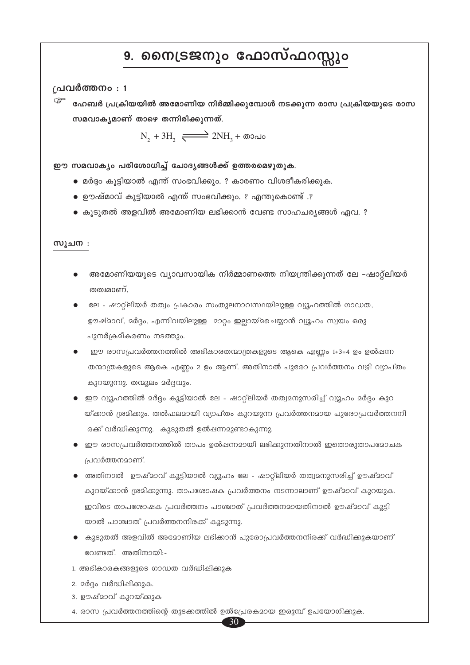## 9. നൈട്രജനും ഫോസ്ഫറസ്സും

#### ്രപവർത്തനം : 1

ഹേബർ പ്രക്രിയയിൽ അമോണിയ നിർമ്മിക്കുമ്പോൾ നടക്കുന്ന രാസ പ്രക്രിയയുടെ രാസ സമവാകൃമാണ് താഴെ തന്നിരിക്കുന്നത്.

 $N_1 + 3H_2 \xrightarrow{\longrightarrow} 2NH_1 + \omega$ 

ഈ സമവാക്യം പരിശോധിച്ച് ചോദ്യങ്ങൾക്ക് ഉത്തരമെഴുതുക.

- മർദ്ദം കൂട്ടിയാൽ എന്ത് സംഭവിക്കും. ? കാരണം വിശദീകരിക്കുക.
- ഊഷ്മാവ് കൂട്ടിയാൽ എന്ത് സംഭവിക്കും. ? എന്തുകൊണ്ട് .?
- $\bullet$  കുടുതൽ അളവിൽ അമോണിയ ലഭിക്കാൻ വേണ്ട സാഹചര്യങ്ങൾ ഏവ. ?

#### സൂചന :

- അമോണിയയുടെ വ്യാവസായിക നിർമ്മാണത്തെ നിയന്ത്രിക്കുന്നത് ലേ –ഷാറ്റ്ലിയർ തത്വമാണ്.
- ലേ ഷാറ്റ്ലിയർ തത്വം പ്രകാരം സംതുലനാവസ്ഥയിലുള്ള വ്യൂഹത്തിൽ ഗാഡത, ഊഷ്മാവ്, മർദ്ദം, എന്നിവയിലുള്ള മാറ്റം ഇല്ലായ്മചെയ്യാൻ വ്യൂഹം സ്വയം ഒരു പുനർക്രമീകരണം നടത്തും.
- ഈ രാസപ്രവർത്തനത്തിൽ അഭികാരതന്മാത്രകളുടെ ആകെ എണ്ണം 1+3=4 ഉം ഉൽഷന്ന തന്മാത്രകളുടെ ആകെ എണ്ണം 2 ഉം ആണ്. അതിനാൽ പുരോ പ്രവർത്തനം വഴി വ്യാപ്തം കുറയുന്നു. തന്മൂലം മർദ്ദവും.
- ഈ വ്യൂഹത്തിൽ മർദ്ദം കൂട്ടിയാൽ ലേ ഷാറ്റ്ലിയർ തത്വമനുസരിച്ച് വ്യൂഹം മർദ്ദം കുറ യ്ക്കാൻ ശ്രമിക്കും. തൽഫലമായി വ്യാപ്തം കുറയുന്ന പ്രവർത്തനമായ പുരോപ്രവർത്തനനി രക്ക് വർദ്ധിക്കുന്നു. കൂടുതൽ ഉൽഷന്നമുണ്ടാകുന്നു.
- ഈ രാസപ്രവർത്തനത്തിൽ താപം ഉൽഷന്നമായി ലഭിക്കുന്നതിനാൽ ഇതൊരുതാപമോചക പ്രവർത്തനമാണ്.
- അതിനാൽ ഊഷ്മാവ് കൂട്ടിയാൽ വ്യൂഹം ലേ ഷാറ്റ്ലിയർ തത്വമനുസരിച്ച് ഊഷ്മാവ് കുറയ്ക്കാൻ ശ്രമിക്കുന്നു. താപശോഷക പ്രവർത്തനം നടന്നാലാണ് ഊഷ്മാവ് കുറയുക. ഇവിടെ താപശോഷക പ്രവർത്തനം പാശ്ചാത് പ്രവർത്തനമായതിനാൽ ഊഷ്മാവ് കുട്ടി യാൽ പാശ്ചാത് പ്രവർത്തനനിരക്ക് കൂടുന്നു.
- $\bullet$  കൂടുതൽ അളവിൽ അമോണിയ ലഭിക്കാൻ പുരോപ്രവർത്തനനിരക്ക് വർദ്ധിക്കുകയാണ് വേണ്ടത്. അതിനായി:-

30

- 1. അഭികാരകങ്ങളുടെ ഗാഡത വർദ്ധിപ്പിക്കുക
- 2. മർദ്ദം വർദ്ധിപ്പിക്കുക.
- 3. ഊഷ്മാവ് കുറയ്ക്കുക
- 4. രാസ പ്രവർത്തനത്തിന്റെ തുടക്കത്തിൽ ഉൽപ്രേരകമായ ഇരുമ്പ് ഉപയോഗിക്കുക.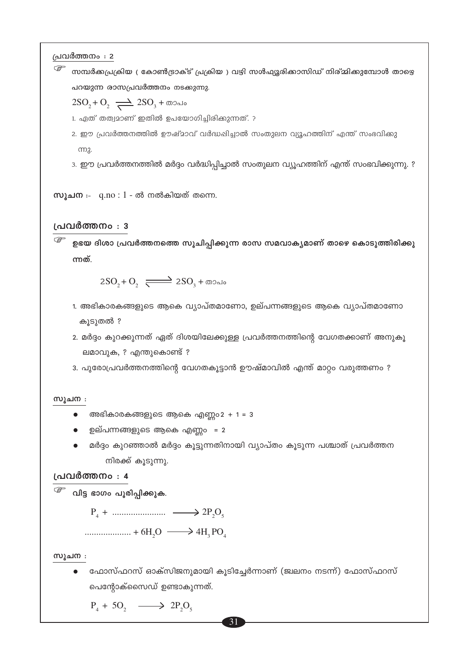$\mathbb{G}$ സമ്പർക്കപ്രക്രിയ ( കോൺട്രാക്ട് പ്രക്രിയ ) വഴി സൾഫ്യൂരിക്കാസിഡ് നിര്മ്മിക്കുമ്പോൾ താഴെ പറയുന്ന രാസപ്രവർത്തനം നടക്<mark>കു</mark>ന്നു.

 $2SO_2 + O_2 \rightleftharpoons 2SO_3 + \omega_0$ 

1. ഏത് തത്വമാണ് ഇതിൽ ഉപയോഗിച്ചിരിക്കുന്നത്. ?

2. ഈ പ്രവർത്തനത്തിൽ ഊഷ്മാവ് വർദ്ധഷിച്ചാൽ സംതുലന വ്യൂഹത്തിന് എന്ത് സംഭവിക്കു ന്നു.

3. ഈ പ്രവർത്തനത്തിൽ മർദ്ദം വർദ്ധിപ്പിച്ചാൽ സംതുലന വ്യൂഹത്തിന് എന്ത് സംഭവിക്കുന്നു. ?

സൂചന $: q.no : 1 - \omega$  നൽകിയത് തന്നെ.

#### പ്രവർത്തനം : 3

 $\mathbb{G}$ ഉഭയ ദിശാ പ്രവർത്തനത്തെ സൂചിപ്പിക്കുന്ന രാസ സമവാകൃമാണ് താഴെ കൊടുത്തിരിക്കു ന്നത്.

 $2SO_2 + O_2$   $\longrightarrow$   $2SO_3 + \omega$ 

1. അഭികാരകങ്ങളുടെ ആകെ വ്യാപ്തമാണോ, ഉല്പന്നങ്ങളുടെ ആകെ വ്യാപ്തമാണോ കൂടുതൽ ?

2. മർദ്ദം കുറക്കുന്നത് ഏത് ദിശയിലേക്കുള്ള പ്രവർത്തനത്തിന്റെ വേഗതക്കാണ് അനുകൂ ലമാവുക, ? എന്തുകൊണ്ട് ?

3. പുരോപ്രവർത്തനത്തിന്റെ വേഗതകൂട്ടാൻ ഊഷ്മാവിൽ എന്ത് മാറ്റം വരുത്തണം ?

#### സൂചന :

- അഭികാരകങ്ങളുടെ ആകെ എണ്ണo $2 + 1 = 3$
- $\bullet$  ഉല്പന്നങ്ങളുടെ ആകെ എണ്ണം = 2
- മർദ്ദം കുറഞ്ഞാൽ മർദ്ദം കൂട്ടുന്നതിനായി വ്യാപ്തം കൂടുന്ന പശ്ചാത് പ്രവർത്തന നിരക്ക് കൂടുന്നു.

#### പ്രവർത്തനം : 4

<sup>്ട്ട്</sup> വിട്ട ഭാഗം പൂരിപ്പിക്കുക.

 $P_4 + \dots + P_5$ 

 $\ldots$   $+ 6H_2O \longrightarrow 4H_2PO$ 

സൂചന :

ഫോസ്ഫറസ് ഓക്സിജനുമായി കൂടിച്ചേർന്നാണ് (ജ്വലനം നടന്ന്) ഫോസ്ഫറസ് പെന്റോക്സൈഡ് ഉണ്ടാകുന്നത്.

 $P_4 + 5O_2 \longrightarrow 2P_2O_5$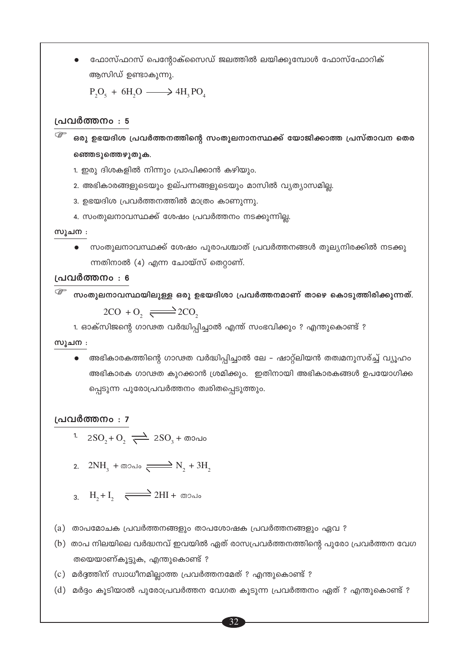ഫോസ്ഫറസ് പെന്റോക്സൈഡ് ജലത്തിൽ ലയിക്കുമ്പോൾ ഫോസ്ഫോറിക് ആസിഡ് ഉണ്ടാകുന്നു.

 $P_2O_5 + 6H_2O \longrightarrow 4H_1PO_4$ 

#### പ്രവർത്തനം : 5

ഒരു ഉഭയദിശ പ്രവർത്തനത്തിന്റെ സംതുലനാനസ്ഥക്ക് യോജിക്കാത്ത പ്രസ്താവന തെര ഞ്ഞെടുത്തെഴുതുക.

- 1. ഇരു ദിശകളിൽ നിന്നും പ്രാപിക്കാൻ കഴിയും.
- 2. അഭികാരങ്ങളുടെയും ഉല്പന്നങ്ങളുടെയും മാസിൽ വ്യത്യാസമില്ല.
- 3. ഉഭയദിശ പ്രവർത്തനത്തിൽ മാത്രം കാണുന്നു.
- 4. സംതുലനാവസ്ഥക്ക് ശേഷം പ്രവർത്തനം നടക്കുന്നില്ല.

#### സൂചന :

• സംതുലനാവസ്ഥക്ക് ശേഷം പുരാപശ്ചാത് പ്രവർത്തനങ്ങൾ തുല്യനിരക്കിൽ നടക്കു ന്നതിനാൽ (4) എന്ന ചോയ്സ് തെറ്റാണ്.

#### പ്രവർത്തനം : 6

<sup>്త്രా</sup> സംതുലനാവസ്ഥയിലുള്ള ഒരു ഉഭയദിശാ പ്രവർത്തനമാണ് താഴെ കൊടുത്തിരിക്കുന്നത്.  $2CO + 0, \rightleftarrows 2CO,$ 

1. ഓക്സിജന്റെ ഗാഢത വർദ്ധിപ്പിച്ചാൽ എന്ത് സംഭവിക്കും ? എന്തുകൊണ്ട് ?

#### സൂചന :

• അഭികാരകത്തിന്റെ ഗാഢത വർദ്ധിപ്പിച്ചാൽ ലേ – ഷാറ്റ്ലിയൻ തത്വമനുസര്ച്ച് വ്യൂഹം അഭികാരക ഗാഢത കുറക്കാൻ ശ്രമിക്കും. ഇതിനായി അഭികാരകങ്ങൾ ഉപയോഗിക്ക പ്പെടുന്ന പുരോപ്രവർത്തനം ത്വരിതപ്പെടുത്തും.

#### പ്രവർത്തനം : 7

- 1.  $2SO_2 + O_2 \implies 2SO_3 + \omega$
- 2.  $2NH_3 + \omega \infty$ do  $\implies N_2 + 3H_3$
- $H_1 + I_2 \xrightarrow{\longrightarrow} 2HI + \omega$
- (a) താപമോചക പ്രവർത്തനങ്ങളും താപശോഷക പ്രവർത്തനങ്ങളും ഏവ ?
- (b) താപ നിലയിലെ വർദ്ധനവ് ഇവയിൽ ഏത് രാസപ്രവർത്തനത്തിന്റെ പുരോ പ്രവർത്തന വേഗ തയെയാണ്കൂട്ടുക, എന്തുകൊണ്ട് ?
- (c) മർദ്ദത്തിന് സ്വാധീനമില്ലാത്ത പ്രവർത്തനമേത് ? എന്തുകൊണ്ട് ?
- (d) മർദ്ദം കൂടിയാൽ പുരോപ്രവർത്തന വേഗത കൂടുന്ന പ്രവർത്തനം ഏത് ? എന്തുകൊണ്ട് ?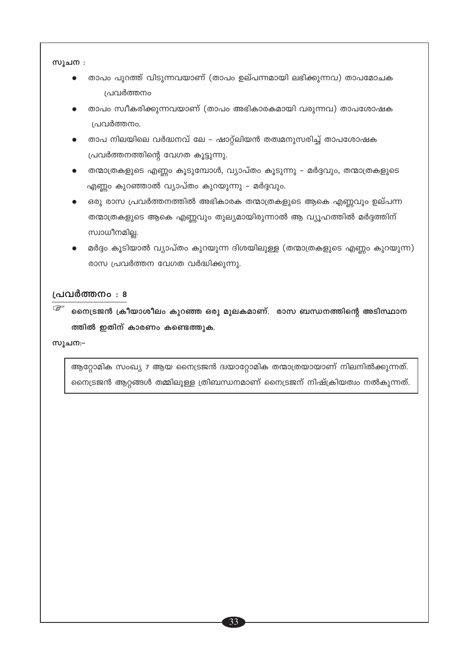സൂചന :

- താപം പുറത്ത് വിടുന്നവയാണ് (താപം ഉല്പന്നമായി ലഭിക്കുന്നവ) താപമോചക പ്രവർത്തനം
- താപം സ്വീകരിക്കുന്നവയാണ് (താപം അഭികാരകമായി വരുന്നവ) താപശോഷക പ്രവർത്തനം.
- താപ നിലയിലെ വർദ്ധനവ് ലേ ഷാറ്റ്ലിയൻ തത്വമനുസരിച്ച് താപശോഷക പ്രവർത്തനത്തിന്റെ വേഗത കൂട്ടുന്നു.
- തന്മാത്രകളുടെ എണ്ണം കൂടുമ്പോൾ, വ്യാപ്തം കൂടുന്നു മർദ്ദവും, തന്മാത്രകളുടെ എണ്ണം കുറഞ്ഞാൽ വ്യാപ്തം കുറയുന്നു – മർദ്ദവും.
- ഒരു രാസ പ്രവർത്തനത്തിൽ അഭികാരക തന്മാത്രകളുടെ ആകെ എണ്ണവും ഉല്പന്ന തന്മാത്രകളുടെ ആകെ എണ്ണവും തുല്യമായിരുന്നാൽ ആ വ്യൂഹത്തിൽ മർദ്ദത്തിന് സ്വാധീനമില്ല.
- മർദ്ദം കൂടിയാൽ വ്യാപ്തം കുറയുന്ന ദിശയിലുള്ള (തന്മാത്രകളുടെ എണ്ണം കുറയുന്ന) രാസ പ്രവർത്തന വേഗത വർദ്ധിക്കുന്നു.

#### പ്രവർത്തനം : 8

 $\begin{picture}(40,40) \put(0,0){\line(1,0){150}} \put(15,0){\line(1,0){150}} \put(15,0){\line(1,0){150}} \put(15,0){\line(1,0){150}} \put(15,0){\line(1,0){150}} \put(15,0){\line(1,0){150}} \put(15,0){\line(1,0){150}} \put(15,0){\line(1,0){150}} \put(15,0){\line(1,0){150}} \put(15,0){\line(1,0){150}} \put(15,0){\line(1,0){150}} \$ നൈട്രജൻ ക്രീയാശീലം കുറഞ്ഞ ഒരു മുലകമാണ്. രാസ ബന്ധനത്തിന്റെ അടിസ്ഥാന ത്തിൽ ഇതിന് കാരണം കണ്ടെത്തുക.

സൂചന:−

ആറ്റോമിക സംഖ്യ 7 ആയ നൈട്രജൻ ദ്വയാറ്റോമിക തന്മാത്രയായാണ് നിലനിൽക്കുന്നത്. നൈട്രജൻ ആറ്റങ്ങൾ തമ്മിലുള്ള ത്രിബന്ധനമാണ് നൈട്രജന് നിഷ്ക്രിയത്വം നൽകുന്നത്.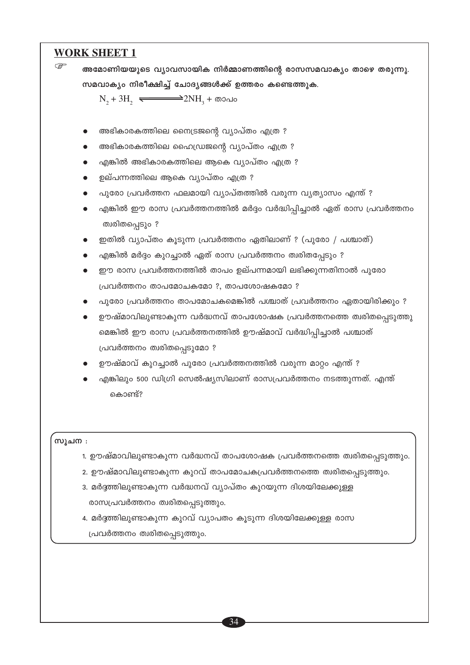#### **WORK SHEET 1**

 $\mathbb{F}$ അമോണിയയുടെ വ്യാവസായിക നിർമ്മാണത്തിന്റെ രാസസമവാക്യം താഴെ തരുന്നു. സമവാക്യം നിരീക്ഷിച്ച് ചോദ്യങ്ങൾക്ക് ഉത്തരം കണ്ടെത്തുക.  $N_2 + 3H_2 \rightleftharpoons$  $=$ 2NH $_{3}$  + താപം അഭികാരകത്തിലെ നൈട്രജന്റെ വ്യാപ്തം എത്ര ? അഭികാരകത്തിലെ ഹൈഡ്രജന്റെ വ്യാപ്തം എത്ര ? എങ്കിൽ അഭികാരകത്തിലെ ആകെ വ്യാപ്തം എത്ര ? ഉല്പന്നത്തിലെ ആകെ വ്യാപ്തം എത്ര ? പുരോ പ്രവർത്തന ഫലമായി വ്യാപ്തത്തിൽ വരുന്ന വ്യത്യാസം എന്ത് ? എങ്കിൽ ഈ രാസ പ്രവർത്തനത്തിൽ മർദ്ദം വർദ്ധിപ്പിച്ചാൽ ഏത് രാസ പ്രവർത്തനം ത്വരിതപ്പെടും ? ഇതിൽ വ്യാപ്തം കൂടുന്ന പ്രവർത്തനം ഏതിലാണ് ? (പുരോ / പശ്ചാത്) എങ്കിൽ മർദ്ദം കുറച്ചാൽ ഏത് രാസ പ്രവർത്തനം ത്വരിതപ്പേടും ? ഈ രാസ പ്രവർത്തനത്തിൽ താപം ഉല്പന്നമായി ലഭിക്കുന്നതിനാൽ പുരോ പ്രവർത്തനം താപമോചകമോ ?, താപശോഷകമോ ? പൂരോ പ്രവർത്തനം താപമോചകമെങ്കിൽ പശ്ചാത് പ്രവർത്തനം ഏതായിരിക്കും ? ഊഷ്മാവിലുണ്ടാകുന്ന വർദ്ധനവ് താപശോഷക പ്രവർത്തനത്തെ ത്വരിതപ്പെടുത്തു മെങ്കിൽ ഈ രാസ പ്രവർത്തനത്തിൽ ഊഷ്മാവ് വർദ്ധിപ്പിച്ചാൽ പശ്ചാത് പ്രവർത്തനം ത്വരിതപ്പെടുമോ ? ഊഷ്മാവ് കുറച്ചാൽ പുരോ പ്രവർത്തനത്തിൽ വരുന്ന മാറ്റം എന്ത് ? എങ്കിലും 500 ഡിഗ്രി സെൽഷ്യസിലാണ് രാസപ്രവർത്തനം നടത്തുന്നത്. എന്ത് കൊണ്ട്? സൂചന : 1. ഊഷ്മാവിലുണ്ടാകുന്ന വർദ്ധനവ് താപശോഷക പ്രവർത്തനത്തെ ത്വരിതപ്പെടുത്തും. 2. ഊഷ്മാവിലുണ്ടാകുന്ന കുറവ് താപമോചകപ്രവർത്തനത്തെ ത്വരിതപ്പെടുത്തും. 3. മർദ്ദത്തിലുണ്ടാകുന്ന വർദ്ധനവ് വ്യാപ്തം കുറയുന്ന ദിശയിലേക്കുള്ള രാസപ്രവർത്തനം ത്വരിതപ്പെടുത്തും. 4. മർദ്ദത്തിലുണ്ടാകുന്ന കുറവ് വ്യാപതം കൂടുന്ന ദിശയിലേക്കുള്ള രാസ

പ്രവർത്തനം ത്വരിതപ്പെടുത്തും.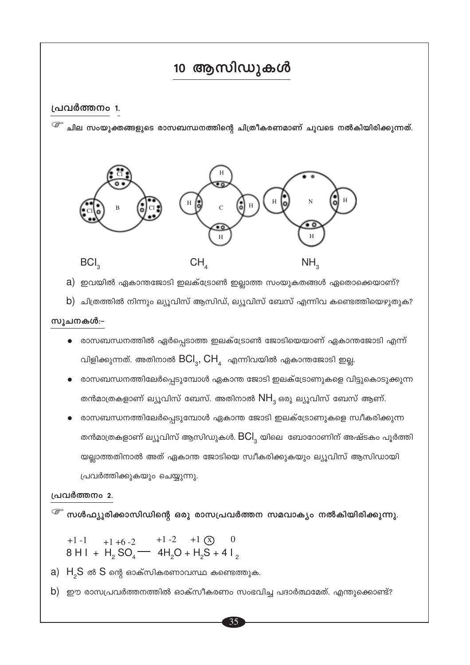## 10 ആസിഡുകൾ

#### പ്രവർത്തനം 1.

<sup>്ള്ഞ</sup> ചില സംയുക്തങ്ങളുടെ രാസബന്ധനത്തിന്റെ ചിത്രീകരണമാണ് ചുവടെ നൽകിയിരിക്കുന്നത്.



a) ഇവയിൽ ഏകാന്തജോടി ഇലക്ട്രോൺ ഇല്ലാത്ത സംയുകതങ്ങൾ ഏതൊക്കെയാണ്?

b) ചിത്രത്തിൽ നിന്നും ല്യൂവിസ് ആസിഡ്, ല്യൂവിസ് ബേസ് എന്നിവ കണ്ടെത്തിയെഴുതുക?

#### സൂചനകൾ:-

- രാസബന്ധനത്തിൽ ഏർപ്പെടാത്ത ഇലക്ട്രോൺ ജോടിയെയാണ് ഏകാന്തജോടി എന്ന് വിളിക്കുന്നത്. അതിനാൽ  $\mathsf{BCl}_3$ ,  $\mathsf{CH}_4$  എന്നിവയിൽ ഏകാന്തജോടി ഇല്ല.
- രാസബന്ധനത്തിലേർപ്പെടുമ്പോൾ ഏകാന്ത ജോടി ഇലക്ട്രോണുകളെ വിട്ടുകൊടുക്കുന്ന തൻമാത്രകളാണ് ല്യൂവിസ് ബേസ്. അതിനാൽ  $NH_{\tiny 3}$ ഒരു ല്യൂവിസ് ബേസ് ആണ്.
- രാസബന്ധനത്തിലേർപ്പെടുമ്പോൾ ഏകാന്ത ജോടി ഇലക്ട്രോണുകളെ സ്വീകരിക്കുന്ന തൻമാത്രകളാണ് ല്യൂവിസ് ആസിഡുകൾ.  $BCl_{\overline{3}}$  യിലെ ബോറോണിന് അഷ്ടകം പൂർത്തി യല്ലാത്തതിനാൽ അത് ഏകാന്ത ജോടിയെ സ്വീകരിക്കുകയും ല്യൂവിസ് ആസിഡായി പ്രവർത്തിക്കുകയും ചെയ്യുന്നു.

#### പ്രവർത്തനം 2.

 $\widehat{\mathscr{E}}$  സൾഫ്യൂരിക്കാസിഡിന്റെ ഒരു രാസപ്രവർത്തന സമവാക്യം നൽകിയിരിക്കുന്നു.

- +1 -1 +1 +6 -2 +1 -2 +1  $\circ$  0<br>8 H I + H<sub>2</sub> SO<sub>4</sub> 4H<sub>2</sub>O + H<sub>2</sub>S + 4 I<sub>2</sub>
- a)  $H_{2}S$  ൽ  $S$  ന്റെ ഓക്സികരണാവസ്ഥ കണ്ടെത്തുക.
- b) ഈ രാസപ്രവർത്തനത്തിൽ ഓക്സീകരണം സംഭവിച്ച പദാർത്ഥമേത്. എന്തുക്കൊണ്ട്?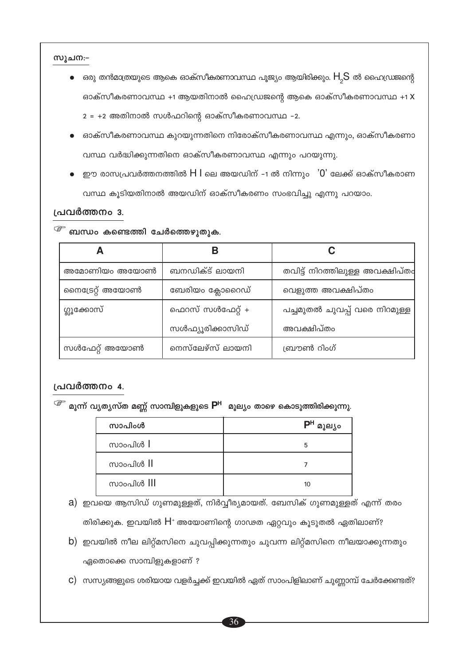സൂചന:-

- ഒരു തൻമാത്രയുടെ ആകെ ഓക്സീകരണാവസ്ഥ പൂജ്യം ആയിരിക്കും.  $\mathsf{H}_{_{\mathcal{P}}}\mathsf{S}$  ൽ ഹൈഡ്രജന്റെ ഓക്സീകരണാവസ്ഥ +1 ആയതിനാൽ ഹൈഡ്രജന്റെ ആകെ ഓക്സീകരണാവസ്ഥ +1 X  $2 = +2$  അതിനാൽ സൾഫറിന്റെ ഓക്സീകരണാവസ്ഥ -2.
- ഓക്സീകരണാവസ്ഥ കുറയുന്നതിനെ നിരോക്സീകരണാവസ്ഥ എന്നും, ഓക്സീകരണാ വസ്ഥ വർദ്ധിക്കുന്നതിനെ ഓക്സീകരണാവസ്ഥ എന്നും പറയുന്നു.
- ഈ രാസപ്രവർത്തനത്തിൽ  $\mathsf H\, \mathsf I$  ലെ അയഡിന് -1 ൽ നിന്നും  $\,$  '0' ലേക്ക് ഓക്സീകരാണ വസ്ഥ കൂടിയതിനാൽ അയഡിന് ഓക്സീകരണം സംഭവിച്ചു എന്നു പറയാം.

#### പ്രവർത്തനം 3.

|  |  |  | <sup>്ള്ச</sup> ബന്ധം കണ്ടെത്തി ചേർത്തെഴുതുക |  |
|--|--|--|----------------------------------------------|--|
|--|--|--|----------------------------------------------|--|

|                 | R                |                                 |
|-----------------|------------------|---------------------------------|
| അമോണിയം അയോൺ    | ബനഡിക്ട് ലായനി   | തവിട്ട് നിറത്തിലുള്ള അവക്ഷിപ്തം |
| നൈട്രേറ്റ് അയോൺ | ബേരിയം ക്ലോറൈഡ്  | വെളുത്ത അവക്ഷിപ്തം              |
| ഗ്ലൂക്കോസ്      | ഫെറസ് സൾഫേറ്റ് + | പച്ചമുതൽ ചുവപ്പ് വരെ നിറമുള്ള   |
|                 | സൾഫ്യൂരിക്കാസിഡ് | അവക്ഷിപ്തം                      |
| സൾഫേറ്റ് അയോൺ   | നെസ്ലേഴ്സ് ലായനി | ബ്രൗൺ റിംഗ്                     |

#### പ്രവർത്തനം 4.

<sup>്ളా</sup> മൂന്ന് വ്യത്യസ്ത മണ്ണ് സാമ്പിളുകളുടെ P<sup>H</sup> മൂല്യം താഴെ കൊടുത്തിരിക്കുന്നു.

| സാപിംൾ              | $PH$ $\sim$<br>മൂല്യം |
|---------------------|-----------------------|
| സാംപിൾ $\mathsf{l}$ | 5                     |
| സാംപിൾ II           |                       |
| സാംപിൾ III          | 10                    |

a) ഇവയെ ആസിഡ് ഗുണമുള്ളത്, നിർവ്വീര്യമായത്. ബേസിക് ഗുണമുള്ളത് എന്ന് തരം തിരിക്കുക. ഇവയിൽ  $H^*$  അയോണിന്റെ ഗാഢത ഏറ്റവും കൂടുതൽ ഏതിലാണ്?

- b) ഇവയിൽ നീല ലിറ്റ്മസിനെ ചുവപ്പിക്കുന്നതും ചുവന്ന ലിറ്റ്മസിനെ നീലയാക്കുന്നതും ഏതൊക്കെ സാമ്പിളുകളാണ് ?
- $c$ ) സസ്യങ്ങളുടെ ശരിയായ വളർച്ചക്ക് ഇവയിൽ ഏത് സാംപിളിലാണ് ചുണ്ണാമ്പ് ചേർക്കേണ്ടത്?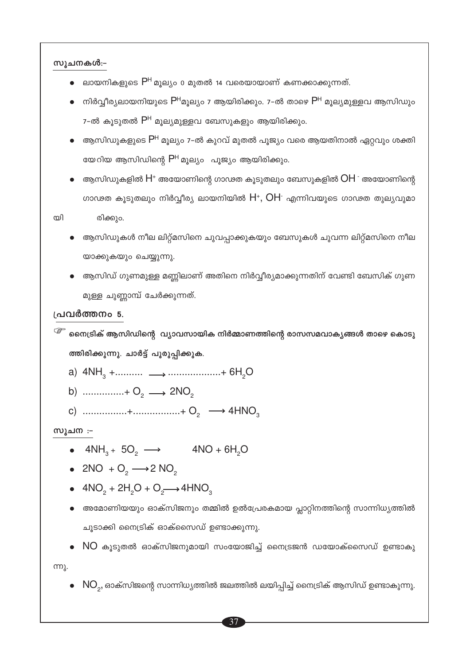സുചനകൾ:-

- ലായനികളുടെ  $P^H$ മുല്യം 0 മുതൽ 14 വരെയായാണ് കണക്കാക്കുന്നത്.
- നിർവ്വീര്യലായനിയുടെ  $P^H$ മൂല്യം 7 ആയിരിക്കും. 7-ൽ താഴെ  $P^H$  മൂല്യമുള്ളവ ആസിഡും 7-ൽ കൂടുതൽ P<sup>H</sup> മുല്യമുള്ളവ ബേസുകളും ആയിരിക്കും.
- ആസിഡുകളുടെ P<sup>H</sup> മൂല്യം 7-ൽ കുറവ് മുതൽ പൂജ്യം വരെ ആയതിനാൽ ഏറ്റവും ശക്തി യേറിയ ആസിഡിന്റെ  $P^H$  മൂല്യം പൂജ്യം ആയിരിക്കും.
- ആസിഡുകളിൽ  $\mathsf{H}^*$  അയോണിന്റെ ഗാഢത കൂടുതലും ബേസുകളിൽ  $\mathsf{OH}^{\text{-}}$  അയോണിന്റെ ഗാഢത കൂടുതലും നിർവ്വീര്യ ലായനിയിൽ  $H^*$ , OH എന്നിവയുടെ ഗാഢത തുല്യവുമാ രിക്കും.

തി

- ആസിഡുകൾ നീല ലിറ്റ്മസിനെ ചുവപ്പാക്കുകയും ബേസുകൾ ചുവന്ന ലിറ്റ്മസിനെ നീല യാക്കുകയും ചെയ്യുന്നു.
- ആസിഡ് ഗുണമുള്ള മണ്ണിലാണ് അതിനെ നിർവ്വീര്യമാക്കുന്നതിന് വേണ്ടി ബേസിക് ഗുണ മുള്ള ചുണ്ണാമ്പ് ചേർക്കുന്നത്.

#### പ്രവർത്തനം 5.

- <sup>്ട്ട്</sup> നൈട്രിക് ആസിഡിന്റെ വ്യാവസായിക നിർമ്മാണത്തിന്റെ രാസസമവാക്യങ്ങൾ താഴെ കൊടു ത്തിരിക്കുന്നു. ചാർട്ട് പൂരുപ്പിക്കുക.
	- a)  $4NH_3 + \dots + \dots + 6H_9$
	- b)  $\ldots$   $\ldots$   $+$  O<sub>2</sub>  $\longrightarrow$  2NO<sub>2</sub>
	- c)  $\ldots$   $+ \ldots$   $+ \ldots$   $+ \ldots$   $+ \ldots$   $+ \ldots$

**സൂചന** :-

- $4NH_3 + 5O_3 \longrightarrow 4NO + 6H_3O$
- 2NO +  $O_2 \longrightarrow 2$  NO<sub>2</sub>
- $4NO<sub>2</sub> + 2H<sub>2</sub>O + O<sub>2</sub> \longrightarrow 4HNO<sub>3</sub>$
- അമോണിയയും ഓക്സിജനും തമ്മിൽ ഉൽപ്രേരകമായ പ്ലാറ്റിനത്തിന്റെ സാന്നിധ്യത്തിൽ ചൂടാക്കി നൈട്രിക് ഓക്സൈഡ് ഉണ്ടാക്കുന്നു.
- $\bullet$  NO കൂടുതൽ ഓക്സിജനുമായി സംയോജിച്ച് നൈട്രജൻ ഡയോക്സൈഡ് ഉണ്ടാകു

m<sub>1</sub>.

 $\bullet \;\; \text{NO}_2$ , ഓക്സിജന്റെ സാന്നിധ്യത്തിൽ ജലത്തിൽ ലയിപ്പിച്ച് നൈട്രിക് ആസിഡ് ഉണ്ടാകുന്നു.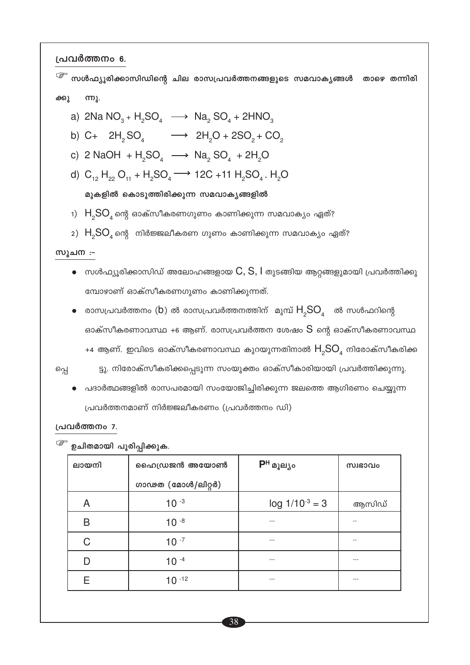പ്രവർത്തനം 6.

സൾഫ്യൂരിക്കാസിഡിന്റെ ചില രാസപ്രവർത്തനങ്ങളുടെ സമവാകൃങ്ങൾ താഴെ തന്നിരി ക്കു ന്നു. a)  $2Na NO_3 + H_2SO_4 \longrightarrow Na_2 SO_4 + 2HNO_3$ b) C+  $2H_2SO_4$   $\longrightarrow$   $2H_2O + 2SO_2 + CO_2$ c) 2 NaOH +  $H_2SO_4$   $\longrightarrow$  Na<sub>2</sub> SO<sub>4</sub> + 2H<sub>2</sub>O d)  $C_{12} H_{22} O_{11} + H_2 SO_4 \longrightarrow 12C + 11 H_2 SO_4$ . H<sub>2</sub>O മുകളിൽ കൊടുത്തിരിക്കുന്ന സമവാകൃങ്ങളിൽ 1)  $H<sub>2</sub>SO<sub>4</sub>$ ന്റെ ഓക്സീകരണഗുണം കാണിക്കുന്ന സമവാക്യം ഏത്? 2)  $H_{2}SO_{4}$ ന്റെ നിർജ്ജലീകരണ ഗുണം കാണിക്കുന്ന സമവാക്യം ഏത്? **സൂചന** :- $\bullet$  സൾഫ്യുരിക്കാസിഡ് അലോഹങ്ങളായ  $\mathsf{C},\mathsf{S},\mathsf{I}$  തുടങ്ങിയ ആറ്റങ്ങളുമായി പ്രവർത്തിക്കു മ്പോഴാണ് ഓക്സീകരണഗുണം കാണിക്കുന്നത്.  $\bullet$  രാസപ്രവർത്തനം (b) ൽ രാസപ്രവർത്തനത്തിന് മുമ്പ്  $\mathsf{H}_{{}_2}\mathsf{SO}_4$  ൽ സൾഫറിന്റെ ഓക്സീകരണാവസ്ഥ +6 ആണ്. രാസപ്രവർത്തന ശേഷം  $S$  ന്റെ ഓക്സീകരണാവസ്ഥ +4 ആണ്. ഇവിടെ ഓക്സീകരണാവസ്ഥ കുറയുന്നതിനാൽ  $H_{2}SO_{4}$  നിരോക്സീകരിക്ക ട്ടു. നിരോക്സീകരിക്കപ്പെടുന്ന സംയുക്തം ഓക്സീകാരിയായി പ്രവർത്തിക്കുന്നു. പ്പെ പദാർത്ഥങ്ങളിൽ രാസപരമായി സംയോജിച്ചിരിക്കുന്ന ജലത്തെ ആഗിരണം ചെയ്യുന്ന പ്രവർത്തനമാണ് നിർജ്ജലീകരണം (പ്രവർത്തനം ഡി)

#### പ്രവർത്തനം 7.

<sup>്ളം</sup> ഉചിതമായി പുരിപ്പിക്കുക.

| ലായനി | ഹൈഡ്രജൻ അയോൺ      | $P^H$ മൂല്യം        | സ്വഭാവം |
|-------|-------------------|---------------------|---------|
|       | ഗാഢത (മോൾ/ലിറ്റർ) |                     |         |
| Α     | $10^{-3}$         | $log 1/10^{-3} = 3$ | ആസിഡ്   |
| B     | $10^{-8}$         |                     |         |
| C     | $10^{-7}$         | $- - -$             |         |
|       | $10^{-4}$         | $- - -$             | ---     |
|       | $10^{-12}$        | ---                 | ---     |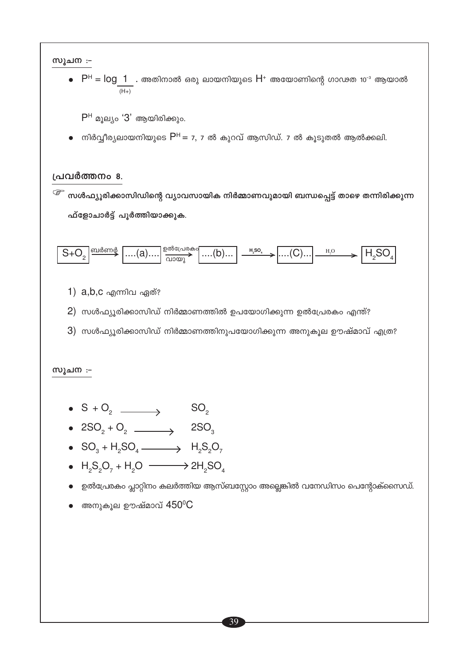#### സൂചന :-

 $\bullet$   $P^H = \log_2 1$  . അതിനാൽ ഒരു ലായനിയുടെ  $H^+$  അയോണിന്റെ ഗാഢത 10 $^{\text{\tiny -3}}$  ആയാൽ  $(H+)$ 

 $P<sup>H</sup>$  മൂല്യം ' $3'$  ആയിരിക്കും.

● നിർവ്വീര്യലായനിയുടെ  $P^H = 7$ , 7 ൽ കുറവ് ആസിഡ്. 7 ൽ കൂടുതൽ ആൽക്കലി.

#### പ്രവർത്തനം 8.

<sup>്ള്</sup> സൾഫ്യൂരിക്കാസിഡിന്റെ വ്യാവസായിക നിർമ്മാണവുമായി ബന്ധപ്പെട്ട് താഴെ തന്നിരിക്കുന്ന ഫ്ളോചാർട്ട് പൂർത്തിയാക്കുക.



- 1) a,b,c എന്നിവ ഏത്?
- $2)$  സൾഫ്യൂരിക്കാസിഡ് നിർമ്മാണത്തിൽ ഉപയോഗിക്കുന്ന ഉൽപ്രേരകം എന്ത്?
- $3)$  സൾഫ്യൂരിക്കാസിഡ് നിർമ്മാണത്തിനുപയോഗിക്കുന്ന അനുകൂല ഊഷ്മാവ് എത്ര?

#### സൂചന **:-**

- $S + O_2$   $\longrightarrow$   $SO_2$
- 
- $SO_3 + H_2SO_4 \longrightarrow H_2S_2O_7$
- $H_2S_2O_7 + H_2O \longrightarrow 2H_2SO_4$
- ഉൽപ്രേരകം പ്ലാറ്റിനം കലർത്തിയ ആസ്ബസ്റ്റോം അല്ലെങ്കിൽ വനേഡിസം പെന്റോക്സൈഡ്.
- $\bullet$  അനുകൂല ഊഷ്മാവ്  $450^{\circ}$ C